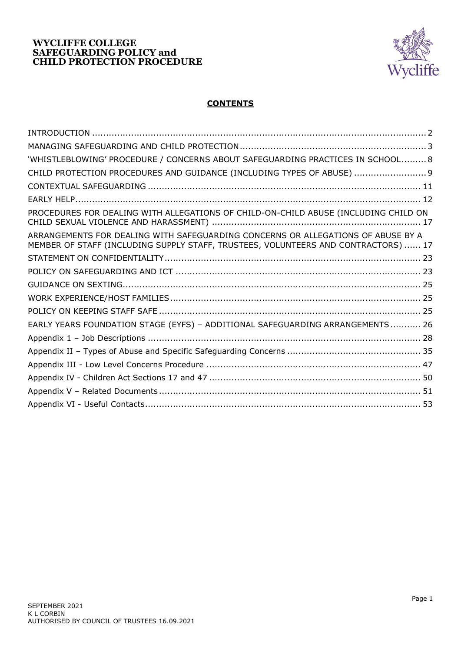

# **CONTENTS**

| 'WHISTLEBLOWING' PROCEDURE / CONCERNS ABOUT SAFEGUARDING PRACTICES IN SCHOOL 8                                                                                         |
|------------------------------------------------------------------------------------------------------------------------------------------------------------------------|
| CHILD PROTECTION PROCEDURES AND GUIDANCE (INCLUDING TYPES OF ABUSE)  9                                                                                                 |
|                                                                                                                                                                        |
|                                                                                                                                                                        |
| PROCEDURES FOR DEALING WITH ALLEGATIONS OF CHILD-ON-CHILD ABUSE (INCLUDING CHILD ON                                                                                    |
| ARRANGEMENTS FOR DEALING WITH SAFEGUARDING CONCERNS OR ALLEGATIONS OF ABUSE BY A<br>MEMBER OF STAFF (INCLUDING SUPPLY STAFF, TRUSTEES, VOLUNTEERS AND CONTRACTORS)  17 |
|                                                                                                                                                                        |
|                                                                                                                                                                        |
|                                                                                                                                                                        |
|                                                                                                                                                                        |
|                                                                                                                                                                        |
| EARLY YEARS FOUNDATION STAGE (EYFS) - ADDITIONAL SAFEGUARDING ARRANGEMENTS  26                                                                                         |
|                                                                                                                                                                        |
|                                                                                                                                                                        |
|                                                                                                                                                                        |
|                                                                                                                                                                        |
|                                                                                                                                                                        |
|                                                                                                                                                                        |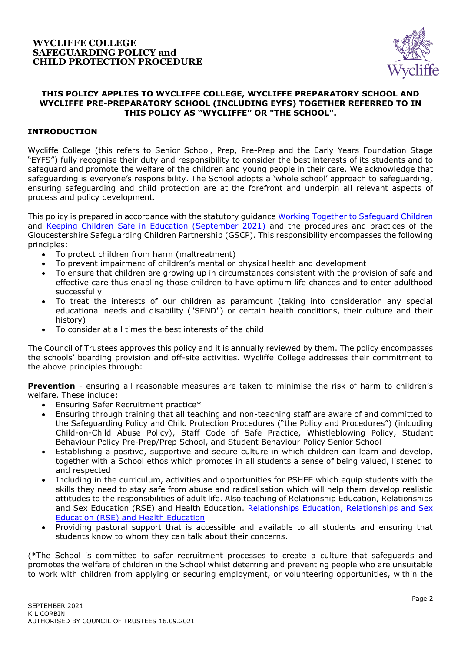

#### **THIS POLICY APPLIES TO WYCLIFFE COLLEGE, WYCLIFFE PREPARATORY SCHOOL AND WYCLIFFE PRE-PREPARATORY SCHOOL (INCLUDING EYFS) TOGETHER REFERRED TO IN THIS POLICY AS "WYCLIFFE" OR "THE SCHOOL".**

### <span id="page-1-0"></span>**INTRODUCTION**

Wycliffe College (this refers to Senior School, Prep, Pre-Prep and the Early Years Foundation Stage "EYFS") fully recognise their duty and responsibility to consider the best interests of its students and to safeguard and promote the welfare of the children and young people in their care. We acknowledge that safeguarding is everyone's responsibility. The School adopts a 'whole school' approach to safeguarding, ensuring safeguarding and child protection are at the forefront and underpin all relevant aspects of process and policy development.

This policy is prepared in accordance with the statutory guidance [Working Together to Safeguard Children](https://assets.publishing.service.gov.uk/government/uploads/system/uploads/attachment_data/file/942454/Working_together_to_safeguard_children_inter_agency_guidance.pdf) and [Keeping Children Safe in Education \(September 2021\)](https://assets.publishing.service.gov.uk/government/uploads/system/uploads/attachment_data/file/1007260/Keeping_children_safe_in_education_2021.pdf) and the procedures and practices of the Gloucestershire Safeguarding Children Partnership (GSCP). This responsibility encompasses the following principles:

- To protect children from harm (maltreatment)
- To prevent impairment of children's mental or physical health and development
- To ensure that children are growing up in circumstances consistent with the provision of safe and effective care thus enabling those children to have optimum life chances and to enter adulthood successfully
- To treat the interests of our children as paramount (taking into consideration any special educational needs and disability ("SEND") or certain health conditions, their culture and their history)
- To consider at all times the best interests of the child

The Council of Trustees approves this policy and it is annually reviewed by them. The policy encompasses the schools' boarding provision and off-site activities. Wycliffe College addresses their commitment to the above principles through:

**Prevention** - ensuring all reasonable measures are taken to minimise the risk of harm to children's welfare. These include:

- Ensuring Safer Recruitment practice\*
- Ensuring through training that all teaching and non-teaching staff are aware of and committed to the Safeguarding Policy and Child Protection Procedures ("the Policy and Procedures") (inlcuding Child-on-Child Abuse Policy), Staff Code of Safe Practice, Whistleblowing Policy, Student Behaviour Policy Pre-Prep/Prep School, and Student Behaviour Policy Senior School
- Establishing a positive, supportive and secure culture in which children can learn and develop, together with a School ethos which promotes in all students a sense of being valued, listened to and respected
- Including in the curriculum, activities and opportunities for PSHEE which equip students with the skills they need to stay safe from abuse and radicalisation which will help them develop realistic attitudes to the responsibilities of adult life. Also teaching of Relationship Education, Relationships and Sex Education (RSE) and Health Education. [Relationships Education, Relationships and Sex](https://assets.publishing.service.gov.uk/government/uploads/system/uploads/attachment_data/file/908013/Relationships_Education__Relationships_and_Sex_Education__RSE__and_Health_Education.pdf)  [Education \(RSE\) and Health Education](https://assets.publishing.service.gov.uk/government/uploads/system/uploads/attachment_data/file/908013/Relationships_Education__Relationships_and_Sex_Education__RSE__and_Health_Education.pdf)
- Providing pastoral support that is accessible and available to all students and ensuring that students know to whom they can talk about their concerns.

(\*The School is committed to safer recruitment processes to create a culture that safeguards and promotes the welfare of children in the School whilst deterring and preventing people who are unsuitable to work with children from applying or securing employment, or volunteering opportunities, within the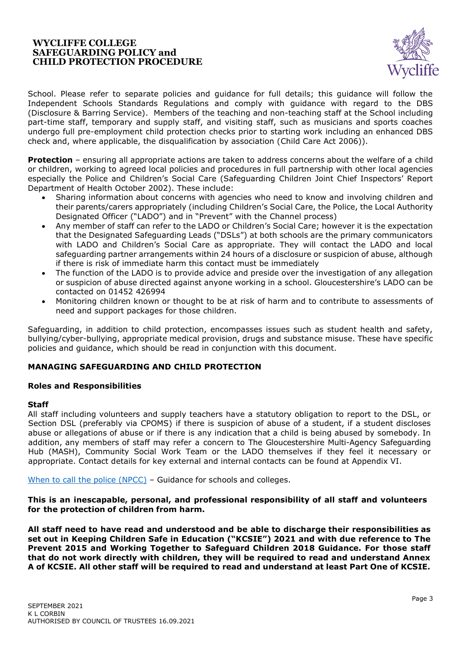

School. Please refer to separate policies and guidance for full details; this guidance will follow the Independent Schools Standards Regulations and comply with guidance with regard to the DBS (Disclosure & Barring Service). Members of the teaching and non-teaching staff at the School including part-time staff, temporary and supply staff, and visiting staff, such as musicians and sports coaches undergo full pre-employment child protection checks prior to starting work including an enhanced DBS check and, where applicable, the disqualification by association (Child Care Act 2006)).

**Protection** – ensuring all appropriate actions are taken to address concerns about the welfare of a child or children, working to agreed local policies and procedures in full partnership with other local agencies especially the Police and Children's Social Care (Safeguarding Children Joint Chief Inspectors' Report Department of Health October 2002). These include:

- Sharing information about concerns with agencies who need to know and involving children and their parents/carers appropriately (including Children's Social Care, the Police, the Local Authority Designated Officer ("LADO") and in "Prevent" with the Channel process)
- Any member of staff can refer to the LADO or Children's Social Care; however it is the expectation that the Designated Safeguarding Leads ("DSLs") at both schools are the primary communicators with LADO and Children's Social Care as appropriate. They will contact the LADO and local safeguarding partner arrangements within 24 hours of a disclosure or suspicion of abuse, although if there is risk of immediate harm this contact must be immediately
- The function of the LADO is to provide advice and preside over the investigation of any allegation or suspicion of abuse directed against anyone working in a school. Gloucestershire's LADO can be contacted on 01452 426994
- Monitoring children known or thought to be at risk of harm and to contribute to assessments of need and support packages for those children.

Safeguarding, in addition to child protection, encompasses issues such as student health and safety, bullying/cyber-bullying, appropriate medical provision, drugs and substance misuse. These have specific policies and guidance, which should be read in conjunction with this document.

## <span id="page-2-0"></span>**MANAGING SAFEGUARDING AND CHILD PROTECTION**

## **Roles and Responsibilities**

#### **Staff**

All staff including volunteers and supply teachers have a statutory obligation to report to the DSL, or Section DSL (preferably via CPOMS) if there is suspicion of abuse of a student, if a student discloses abuse or allegations of abuse or if there is any indication that a child is being abused by somebody. In addition, any members of staff may refer a concern to The Gloucestershire Multi-Agency Safeguarding Hub (MASH), Community Social Work Team or the LADO themselves if they feel it necessary or appropriate. Contact details for key external and internal contacts can be found at Appendix VI.

When to call the police [\(NPCC\)](https://www.npcc.police.uk/documents/Children%20and%20Young%20people/When%20to%20call%20the%20police%20guidance%20for%20schools%20and%20colleges.pdf) – Guidance for schools and colleges.

**This is an inescapable, personal, and professional responsibility of all staff and volunteers for the protection of children from harm.**

**All staff need to have read and understood and be able to discharge their responsibilities as set out in Keeping Children Safe in Education ("KCSIE") 2021 and with due reference to The Prevent 2015 and Working Together to Safeguard Children 2018 Guidance. For those staff that do not work directly with children, they will be required to read and understand Annex A of KCSIE. All other staff will be required to read and understand at least Part One of KCSIE.**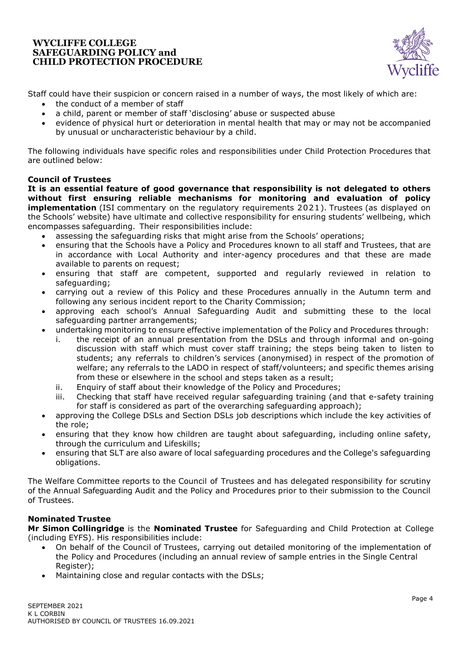

Staff could have their suspicion or concern raised in a number of ways, the most likely of which are:

- the conduct of a member of staff
- a child, parent or member of staff 'disclosing' abuse or suspected abuse
- evidence of physical hurt or deterioration in mental health that may or may not be accompanied by unusual or uncharacteristic behaviour by a child.

The following individuals have specific roles and responsibilities under Child Protection Procedures that are outlined below:

# **Council of Trustees**

**It is an essential feature of good governance that responsibility is not delegated to others without first ensuring reliable mechanisms for monitoring and evaluation of policy implementation** (ISI commentary on the regulatory requirements 2021). Trustees (as displayed on the Schools' website) have ultimate and collective responsibility for ensuring students' wellbeing, which encompasses safeguarding. Their responsibilities include:

- assessing the safeguarding risks that might arise from the Schools' operations;
- ensuring that the Schools have a Policy and Procedures known to all staff and Trustees, that are in accordance with Local Authority and inter-agency procedures and that these are made available to parents on request;
- ensuring that staff are competent, supported and regularly reviewed in relation to safeguarding;
- carrying out a review of this Policy and these Procedures annually in the Autumn term and following any serious incident report to the Charity Commission;
- approving each school's Annual Safeguarding Audit and submitting these to the local safeguarding partner arrangements;
- undertaking monitoring to ensure effective implementation of the Policy and Procedures through:
	- i. the receipt of an annual presentation from the DSLs and through informal and on-going discussion with staff which must cover staff training; the steps being taken to listen to students; any referrals to children's services (anonymised) in respect of the promotion of welfare; any referrals to the LADO in respect of staff/volunteers; and specific themes arising from these or elsewhere in the school and steps taken as a result;
	- ii. Enquiry of staff about their knowledge of the Policy and Procedures;
	- iii. Checking that staff have received regular safeguarding training (and that e-safety training for staff is considered as part of the overarching safeguarding approach);
- approving the College DSLs and Section DSLs job descriptions which include the key activities of the role;
- ensuring that they know how children are taught about safeguarding, including online safety, through the curriculum and Lifeskills;
- ensuring that SLT are also aware of local safeguarding procedures and the College's safeguarding obligations.

The Welfare Committee reports to the Council of Trustees and has delegated responsibility for scrutiny of the Annual Safeguarding Audit and the Policy and Procedures prior to their submission to the Council of Trustees.

## **Nominated Trustee**

**Mr Simon Collingridge** is the **Nominated Trustee** for Safeguarding and Child Protection at College (including EYFS). His responsibilities include:

- On behalf of the Council of Trustees, carrying out detailed monitoring of the implementation of the Policy and Procedures (including an annual review of sample entries in the Single Central Register);
- Maintaining close and regular contacts with the DSLs;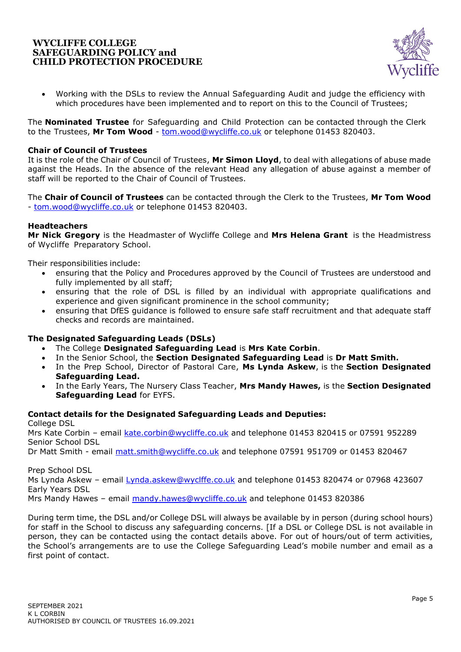

• Working with the DSLs to review the Annual Safeguarding Audit and judge the efficiency with which procedures have been implemented and to report on this to the Council of Trustees;

The **Nominated Trustee** for Safeguarding and Child Protection can be contacted through the Clerk to the Trustees, **Mr Tom Wood** - [tom.wood@wycliffe.co.uk](mailto:tom.wood@wycliffe.co.uk) or telephone 01453 820403.

### **Chair of Council of Trustees**

It is the role of the Chair of Council of Trustees, **Mr Simon Lloyd**, to deal with allegations of abuse made against the Heads. In the absence of the relevant Head any allegation of abuse against a member of staff will be reported to the Chair of Council of Trustees.

The **Chair of Council of Trustees** can be contacted through the Clerk to the Trustees, **Mr Tom Wood** - [tom.wood@wycliffe.co.uk](mailto:tom.wood@wycliffe.co.uk) or telephone 01453 820403.

#### **Headteachers**

**Mr Nick Gregory** is the Headmaster of Wycliffe College and **Mrs Helena Grant** is the Headmistress of Wycliffe Preparatory School.

Their responsibilities include:

- ensuring that the Policy and Procedures approved by the Council of Trustees are understood and fully implemented by all staff;
- ensuring that the role of DSL is filled by an individual with appropriate qualifications and experience and given significant prominence in the school community;
- ensuring that DfES guidance is followed to ensure safe staff recruitment and that adequate staff checks and records are maintained.

#### **The Designated Safeguarding Leads (DSLs)**

- The College **Designated Safeguarding Lead** is **Mrs Kate Corbin**.
- In the Senior School, the **Section Designated Safeguarding Lead** is **Dr Matt Smith.**
- In the Prep School, Director of Pastoral Care, **Ms Lynda Askew**, is the **Section Designated Safeguarding Lead.**
- In the Early Years, The Nursery Class Teacher, **Mrs Mandy Hawes,** is the **Section Designated Safeguarding Lead** for EYFS.

#### **Contact details for the Designated Safeguarding Leads and Deputies:**

College DSL

Mrs Kate Corbin – email [kate.corbin@wycliffe.co.uk](mailto:kate.corbin@wycliffe.co.uk) and telephone 01453 820415 or 07591 952289 Senior School DSL

Dr Matt Smith - email [matt.smith@wycliffe.co.uk](mailto:matt.smith@wycliffe.co.uk) and telephone 07591 951709 or 01453 820467

Prep School DSL

Ms Lynda Askew – email [Lynda.askew@wyclffe.co.uk](mailto:Lynda.askew@wyclffe.co.uk) and telephone 01453 820474 or 07968 423607 Early Years DSL

Mrs Mandy Hawes - email [mandy.hawes@wycliffe.co.uk](mailto:mandy.hawes@wycliffe.co.uk) and telephone 01453 820386

During term time, the DSL and/or College DSL will always be available by in person (during school hours) for staff in the School to discuss any safeguarding concerns. [If a DSL or College DSL is not available in person, they can be contacted using the contact details above. For out of hours/out of term activities, the School's arrangements are to use the College Safeguarding Lead's mobile number and email as a first point of contact.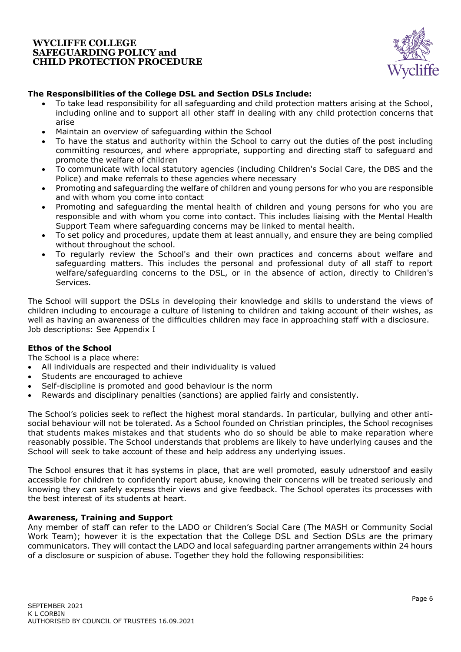

# **The Responsibilities of the College DSL and Section DSLs Include:**

- To take lead responsibility for all safeguarding and child protection matters arising at the School, including online and to support all other staff in dealing with any child protection concerns that arise
- Maintain an overview of safeguarding within the School
- To have the status and authority within the School to carry out the duties of the post including committing resources, and where appropriate, supporting and directing staff to safeguard and promote the welfare of children
- To communicate with local statutory agencies (including Children's Social Care, the DBS and the Police) and make referrals to these agencies where necessary
- Promoting and safeguarding the welfare of children and young persons for who you are responsible and with whom you come into contact
- Promoting and safeguarding the mental health of children and young persons for who you are responsible and with whom you come into contact. This includes liaising with the Mental Health Support Team where safeguarding concerns may be linked to mental health.
- To set policy and procedures, update them at least annually, and ensure they are being complied without throughout the school.
- To regularly review the School's and their own practices and concerns about welfare and safeguarding matters. This includes the personal and professional duty of all staff to report welfare/safeguarding concerns to the DSL, or in the absence of action, directly to Children's Services.

The School will support the DSLs in developing their knowledge and skills to understand the views of children including to encourage a culture of listening to children and taking account of their wishes, as well as having an awareness of the difficulties children may face in approaching staff with a disclosure. Job descriptions: See Appendix I

# **Ethos of the School**

The School is a place where:

- All individuals are respected and their individuality is valued
- Students are encouraged to achieve
- Self-discipline is promoted and good behaviour is the norm
- Rewards and disciplinary penalties (sanctions) are applied fairly and consistently.

The School's policies seek to reflect the highest moral standards. In particular, bullying and other antisocial behaviour will not be tolerated. As a School founded on Christian principles, the School recognises that students makes mistakes and that students who do so should be able to make reparation where reasonably possible. The School understands that problems are likely to have underlying causes and the School will seek to take account of these and help address any underlying issues.

The School ensures that it has systems in place, that are well promoted, easuly udnerstoof and easily accessible for children to confidently report abuse, knowing their concerns will be treated seriously and knowing they can safely express their views and give feedback. The School operates its processes with the best interest of its students at heart.

## **Awareness, Training and Support**

Any member of staff can refer to the LADO or Children's Social Care (The MASH or Community Social Work Team); however it is the expectation that the College DSL and Section DSLs are the primary communicators. They will contact the LADO and local safeguarding partner arrangements within 24 hours of a disclosure or suspicion of abuse. Together they hold the following responsibilities: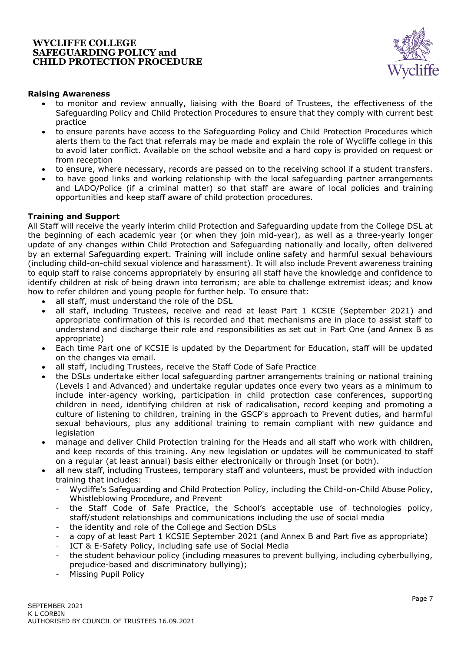

### **Raising Awareness**

- to monitor and review annually, liaising with the Board of Trustees, the effectiveness of the Safeguarding Policy and Child Protection Procedures to ensure that they comply with current best practice
- to ensure parents have access to the Safeguarding Policy and Child Protection Procedures which alerts them to the fact that referrals may be made and explain the role of Wycliffe college in this to avoid later conflict. Available on the school website and a hard copy is provided on request or from reception
- to ensure, where necessary, records are passed on to the receiving school if a student transfers.
- to have good links and working relationship with the local safeguarding partner arrangements and LADO/Police (if a criminal matter) so that staff are aware of local policies and training opportunities and keep staff aware of child protection procedures.

### **Training and Support**

All Staff will receive the yearly interim child Protection and Safeguarding update from the College DSL at the beginning of each academic year (or when they join mid-year), as well as a three-yearly longer update of any changes within Child Protection and Safeguarding nationally and locally, often delivered by an external Safeguarding expert. Training will include online safety and harmful sexual behaviours (including child-on-child sexual violence and harassment). It will also include Prevent awareness training to equip staff to raise concerns appropriately by ensuring all staff have the knowledge and confidence to identify children at risk of being drawn into terrorism; are able to challenge extremist ideas; and know how to refer children and young people for further help. To ensure that:

- all staff, must understand the role of the DSL
- all staff, including Trustees, receive and read at least Part 1 KCSIE (September 2021) and appropriate confirmation of this is recorded and that mechanisms are in place to assist staff to understand and discharge their role and responsibilities as set out in Part One (and Annex B as appropriate)
- Each time Part one of KCSIE is updated by the Department for Education, staff will be updated on the changes via email.
- all staff, including Trustees, receive the Staff Code of Safe Practice
- the DSLs undertake either local safeguarding partner arrangements training or national training (Levels I and Advanced) and undertake regular updates once every two years as a minimum to include inter-agency working, participation in child protection case conferences, supporting children in need, identifying children at risk of radicalisation, record keeping and promoting a culture of listening to children, training in the GSCP's approach to Prevent duties, and harmful sexual behaviours, plus any additional training to remain compliant with new guidance and legislation
- manage and deliver Child Protection training for the Heads and all staff who work with children, and keep records of this training. Any new legislation or updates will be communicated to staff on a regular (at least annual) basis either electronically or through Inset (or both).
- all new staff, including Trustees, temporary staff and volunteers, must be provided with induction training that includes:
	- Wycliffe's Safeguarding and Child Protection Policy, including the Child-on-Child Abuse Policy, Whistleblowing Procedure, and Prevent
	- the Staff Code of Safe Practice, the School's acceptable use of technologies policy, staff/student relationships and communications including the use of social media
	- the identity and role of the College and Section DSLs
	- a copy of at least Part 1 KCSIE September 2021 (and Annex B and Part five as appropriate)
	- ICT & E-Safety Policy, including safe use of Social Media
	- the student behaviour policy (including measures to prevent bullying, including cyberbullying, prejudice-based and discriminatory bullying);
	- Missing Pupil Policy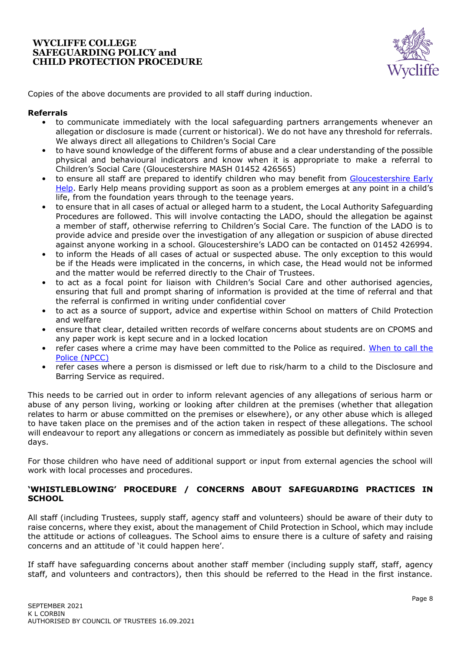

Copies of the above documents are provided to all staff during induction.

### **Referrals**

- to communicate immediately with the local safeguarding partners arrangements whenever an allegation or disclosure is made (current or historical). We do not have any threshold for referrals. We always direct all allegations to Children's Social Care
- to have sound knowledge of the different forms of abuse and a clear understanding of the possible physical and behavioural indicators and know when it is appropriate to make a referral to Children's Social Care (Gloucestershire MASH 01452 426565)
- to ensure all staff are prepared to identify children who may benefit from [Gloucestershire](https://www.gloucestershire.gov.uk/health-and-social-care/children-young-people-and-families/early-help-and-targeted-support/early-help-advice-guidance-and-support/) Early [Help.](https://www.gloucestershire.gov.uk/health-and-social-care/children-young-people-and-families/early-help-and-targeted-support/early-help-advice-guidance-and-support/) Early Help means providing support as soon as a problem emerges at any point in a child's life, from the foundation years through to the teenage years.
- to ensure that in all cases of actual or alleged harm to a student, the Local Authority Safeguarding Procedures are followed. This will involve contacting the LADO, should the allegation be against a member of staff, otherwise referring to Children's Social Care. The function of the LADO is to provide advice and preside over the investigation of any allegation or suspicion of abuse directed against anyone working in a school. Gloucestershire's LADO can be contacted on 01452 426994.
- to inform the Heads of all cases of actual or suspected abuse. The only exception to this would be if the Heads were implicated in the concerns, in which case, the Head would not be informed and the matter would be referred directly to the Chair of Trustees.
- to act as a focal point for liaison with Children's Social Care and other authorised agencies, ensuring that full and prompt sharing of information is provided at the time of referral and that the referral is confirmed in writing under confidential cover
- to act as a source of support, advice and expertise within School on matters of Child Protection and welfare
- ensure that clear, detailed written records of welfare concerns about students are on CPOMS and any paper work is kept secure and in a locked location
- refer cases where a crime may have been committed to the Police as required. When to call the [Police \(NPCC\)](https://www.npcc.police.uk/documents/Children%20and%20Young%20people/When%20to%20call%20the%20police%20guidance%20for%20schools%20and%20colleges.pdf)
- refer cases where a person is dismissed or left due to risk/harm to a child to the Disclosure and Barring Service as required.

This needs to be carried out in order to inform relevant agencies of any allegations of serious harm or abuse of any person living, working or looking after children at the premises (whether that allegation relates to harm or abuse committed on the premises or elsewhere), or any other abuse which is alleged to have taken place on the premises and of the action taken in respect of these allegations. The school will endeavour to report any allegations or concern as immediately as possible but definitely within seven days.

For those children who have need of additional support or input from external agencies the school will work with local processes and procedures.

## <span id="page-7-0"></span>**'WHISTLEBLOWING' PROCEDURE / CONCERNS ABOUT SAFEGUARDING PRACTICES IN SCHOOL**

All staff (including Trustees, supply staff, agency staff and volunteers) should be aware of their duty to raise concerns, where they exist, about the management of Child Protection in School, which may include the attitude or actions of colleagues. The School aims to ensure there is a culture of safety and raising concerns and an attitude of 'it could happen here'.

If staff have safeguarding concerns about another staff member (including supply staff, staff, agency staff, and volunteers and contractors), then this should be referred to the Head in the first instance.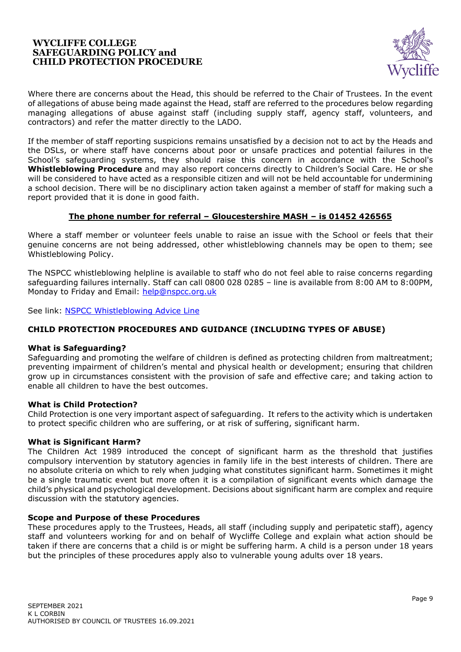

Where there are concerns about the Head, this should be referred to the Chair of Trustees. In the event of allegations of abuse being made against the Head, staff are referred to the procedures below regarding managing allegations of abuse against staff (including supply staff, agency staff, volunteers, and contractors) and refer the matter directly to the LADO.

If the member of staff reporting suspicions remains unsatisfied by a decision not to act by the Heads and the DSLs, or where staff have concerns about poor or unsafe practices and potential failures in the School's safeguarding systems, they should raise this concern in accordance with the School's **Whistleblowing Procedure** and may also report concerns directly to Children's Social Care. He or she will be considered to have acted as a responsible citizen and will not be held accountable for undermining a school decision. There will be no disciplinary action taken against a member of staff for making such a report provided that it is done in good faith.

## **The phone number for referral – Gloucestershire MASH – is 01452 426565**

Where a staff member or volunteer feels unable to raise an issue with the School or feels that their genuine concerns are not being addressed, other whistleblowing channels may be open to them; see Whistleblowing Policy.

The NSPCC whistleblowing helpline is available to staff who do not feel able to raise concerns regarding safeguarding failures internally. Staff can call 0800 028 0285 – line is available from 8:00 AM to 8:00PM, Monday to Friday and Email: [help@nspcc.org.uk](mailto:help@nspcc.org.uk)

See link: [NSPCC Whistleblowing Advice Line](https://www.nspcc.org.uk/keeping-children-safe/reporting-abuse/dedicated-helplines/whistleblowing-advice-line/)

### <span id="page-8-0"></span>**CHILD PROTECTION PROCEDURES AND GUIDANCE (INCLUDING TYPES OF ABUSE)**

#### **What is Safeguarding?**

Safeguarding and promoting the welfare of children is defined as protecting children from maltreatment; preventing impairment of children's mental and physical health or development; ensuring that children grow up in circumstances consistent with the provision of safe and effective care; and taking action to enable all children to have the best outcomes.

#### **What is Child Protection?**

Child Protection is one very important aspect of safeguarding. It refers to the activity which is undertaken to protect specific children who are suffering, or at risk of suffering, significant harm.

#### **What is Significant Harm?**

The Children Act 1989 introduced the concept of significant harm as the threshold that justifies compulsory intervention by statutory agencies in family life in the best interests of children. There are no absolute criteria on which to rely when judging what constitutes significant harm. Sometimes it might be a single traumatic event but more often it is a compilation of significant events which damage the child's physical and psychological development. Decisions about significant harm are complex and require discussion with the statutory agencies.

#### **Scope and Purpose of these Procedures**

These procedures apply to the Trustees, Heads, all staff (including supply and peripatetic staff), agency staff and volunteers working for and on behalf of Wycliffe College and explain what action should be taken if there are concerns that a child is or might be suffering harm. A child is a person under 18 years but the principles of these procedures apply also to vulnerable young adults over 18 years.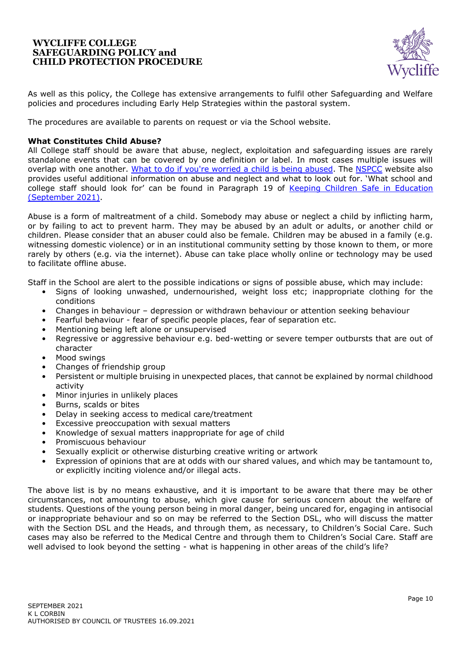

As well as this policy, the College has extensive arrangements to fulfil other Safeguarding and Welfare policies and procedures including Early Help Strategies within the pastoral system.

The procedures are available to parents on request or via the School website.

### **What Constitutes Child Abuse?**

All College staff should be aware that abuse, neglect, exploitation and safeguarding issues are rarely standalone events that can be covered by one definition or label. In most cases multiple issues will overlap with one another. [What to do if you're worried a child](https://assets.publishing.service.gov.uk/government/uploads/system/uploads/attachment_data/file/419604/What_to_do_if_you_re_worried_a_child_is_being_abused.pdf) is being abused. The [NSPCC](https://www.nspcc.org.uk/) website also provides useful additional information on abuse and neglect and what to look out for. 'What school and college staff should look for' can be found in Paragraph 19 of Keeping Children Safe in Education [\(September 2021\).](https://assets.publishing.service.gov.uk/government/uploads/system/uploads/attachment_data/file/1007260/Keeping_children_safe_in_education_2021.pdf)

Abuse is a form of maltreatment of a child. Somebody may abuse or neglect a child by inflicting harm, or by failing to act to prevent harm. They may be abused by an adult or adults, or another child or children. Please consider that an abuser could also be female. Children may be abused in a family (e.g. witnessing domestic violence) or in an institutional community setting by those known to them, or more rarely by others (e.g. via the internet). Abuse can take place wholly online or technology may be used to facilitate offline abuse.

Staff in the School are alert to the possible indications or signs of possible abuse, which may include:

- Signs of looking unwashed, undernourished, weight loss etc; inappropriate clothing for the conditions
- Changes in behaviour depression or withdrawn behaviour or attention seeking behaviour
- Fearful behaviour fear of specific people places, fear of separation etc.
- Mentioning being left alone or unsupervised
- Regressive or aggressive behaviour e.g. bed-wetting or severe temper outbursts that are out of character
- Mood swings
- Changes of friendship group
- Persistent or multiple bruising in unexpected places, that cannot be explained by normal childhood activity
- Minor injuries in unlikely places
- Burns, scalds or bites
- Delay in seeking access to medical care/treatment
- Excessive preoccupation with sexual matters
- Knowledge of sexual matters inappropriate for age of child
- Promiscuous behaviour
- Sexually explicit or otherwise disturbing creative writing or artwork
- Expression of opinions that are at odds with our shared values, and which may be tantamount to, or explicitly inciting violence and/or illegal acts.

The above list is by no means exhaustive, and it is important to be aware that there may be other circumstances, not amounting to abuse, which give cause for serious concern about the welfare of students. Questions of the young person being in moral danger, being uncared for, engaging in antisocial or inappropriate behaviour and so on may be referred to the Section DSL, who will discuss the matter with the Section DSL and the Heads, and through them, as necessary, to Children's Social Care. Such cases may also be referred to the Medical Centre and through them to Children's Social Care. Staff are well advised to look beyond the setting - what is happening in other areas of the child's life?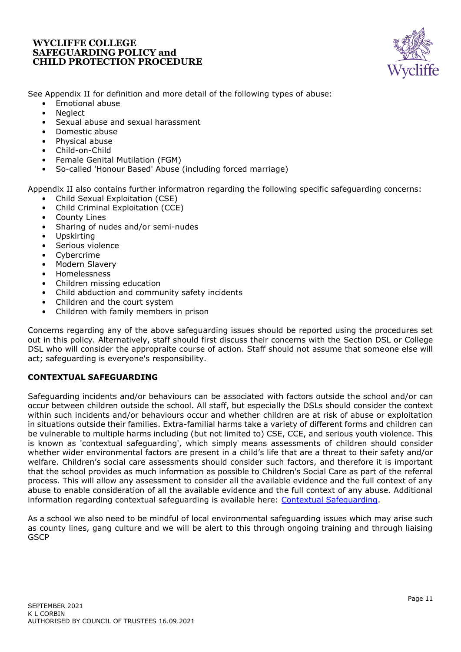

See Appendix II for definition and more detail of the following types of abuse:

- Emotional abuse
- Neglect
- Sexual abuse and sexual harassment
- Domestic abuse
- Physical abuse
- Child-on-Child
- Female Genital Mutilation (FGM)
- So-called 'Honour Based' Abuse (including forced marriage)

Appendix II also contains further informatron regarding the following specific safeguarding concerns:

- Child Sexual Exploitation (CSE)
- Child Criminal Exploitation (CCE)
- **County Lines**
- Sharing of nudes and/or semi-nudes
- Upskirting
- Serious violence
- **Cybercrime**
- Modern Slavery
- Homelessness
- Children missing education
- Child abduction and community safety incidents
- Children and the court system
- Children with family members in prison

Concerns regarding any of the above safeguarding issues should be reported using the procedures set out in this policy. Alternatively, staff should first discuss their concerns with the Section DSL or College DSL who will consider the appropraite course of action. Staff should not assume that someone else will act; safeguarding is everyone's responsibility.

# <span id="page-10-0"></span>**CONTEXTUAL SAFEGUARDING**

Safeguarding incidents and/or behaviours can be associated with factors outside the school and/or can occur between children outside the school. All staff, but especially the DSLs should consider the context within such incidents and/or behaviours occur and whether children are at risk of abuse or exploitation in situations outside their families. Extra-familial harms take a variety of different forms and children can be vulnerable to multiple harms including (but not limited to) CSE, CCE, and serious youth violence. This is known as 'contextual safeguarding', which simply means assessments of children should consider whether wider environmental factors are present in a child's life that are a threat to their safety and/or welfare. Children's social care assessments should consider such factors, and therefore it is important that the school provides as much information as possible to Children's Social Care as part of the referral process. This will allow any assessment to consider all the available evidence and the full context of any abuse to enable consideration of all the available evidence and the full context of any abuse. Additional information regarding contextual safeguarding is available here: [Contextual Safeguarding.](https://contextualsafeguarding.org.uk/wp-content/uploads/2020/03/A-Legal-Framework-for-Implementing-Contextual-Safeguarding_190320_073228-1.pdf)

As a school we also need to be mindful of local environmental safeguarding issues which may arise such as county lines, gang culture and we will be alert to this through ongoing training and through liaising **GSCP**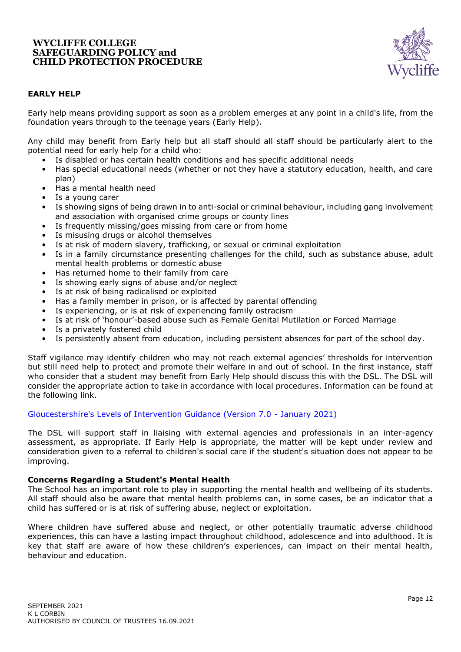

### <span id="page-11-0"></span>**EARLY HELP**

Early help means providing support as soon as a problem emerges at any point in a child's life, from the foundation years through to the teenage years (Early Help).

Any child may benefit from Early help but all staff should all staff should be particularly alert to the potential need for early help for a child who:

- Is disabled or has certain health conditions and has specific additional needs
- Has special educational needs (whether or not they have a statutory education, health, and care plan)
- Has a mental health need
- Is a young carer
- Is showing signs of being drawn in to anti-social or criminal behaviour, including gang involvement and association with organised crime groups or county lines
- Is frequently missing/goes missing from care or from home
- Is misusing drugs or alcohol themselves
- Is at risk of modern slavery, trafficking, or sexual or criminal exploitation
- Is in a family circumstance presenting challenges for the child, such as substance abuse, adult mental health problems or domestic abuse
- Has returned home to their family from care
- Is showing early signs of abuse and/or neglect
- Is at risk of being radicalised or exploited
- Has a family member in prison, or is affected by parental offending
- Is experiencing, or is at risk of experiencing family ostracism
- Is at risk of 'honour'-based abuse such as Female Genital Mutilation or Forced Marriage
- Is a privately fostered child
- Is persistently absent from education, including persistent absences for part of the school day.

Staff vigilance may identify children who may not reach external agencies' thresholds for intervention but still need help to protect and promote their welfare in and out of school. In the first instance, staff who consider that a student may benefit from Early Help should discuss this with the DSL. The DSL will consider the appropriate action to take in accordance with local procedures. Information can be found at the following link.

#### [Gloucestershire's Levels of Intervention Guidance \(Version 7.0](https://www.gloucestershire.gov.uk/media/2103929/gloucestershire-revised-loi-guidance-v7-jan-2021.pdf) - January 2021)

The DSL will support staff in liaising with external agencies and professionals in an inter-agency assessment, as appropriate. If Early Help is appropriate, the matter will be kept under review and consideration given to a referral to children's social care if the student's situation does not appear to be improving.

#### **Concerns Regarding a Student's Mental Health**

The School has an important role to play in supporting the mental health and wellbeing of its students. All staff should also be aware that mental health problems can, in some cases, be an indicator that a child has suffered or is at risk of suffering abuse, neglect or exploitation.

Where children have suffered abuse and neglect, or other potentially traumatic adverse childhood experiences, this can have a lasting impact throughout childhood, adolescence and into adulthood. It is key that staff are aware of how these children's experiences, can impact on their mental health, behaviour and education.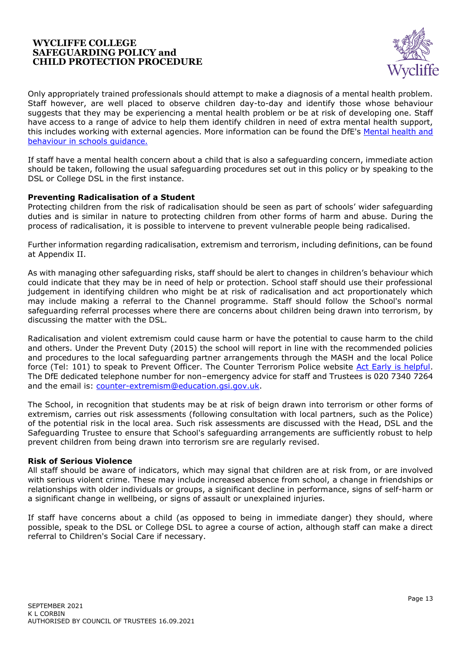

Only appropriately trained professionals should attempt to make a diagnosis of a mental health problem. Staff however, are well placed to observe children day-to-day and identify those whose behaviour suggests that they may be experiencing a mental health problem or be at risk of developing one. Staff have access to a range of advice to help them identify children in need of extra mental health support, this includes working with external agencies. More information can be found the DfE's [Mental health and](https://assets.publishing.service.gov.uk/government/uploads/system/uploads/attachment_data/file/755135/Mental_health_and_behaviour_in_schools__.pdf) [behaviour in schools](https://assets.publishing.service.gov.uk/government/uploads/system/uploads/attachment_data/file/755135/Mental_health_and_behaviour_in_schools__.pdf) guidance.

If staff have a mental health concern about a child that is also a safeguarding concern, immediate action should be taken, following the usual safeguarding procedures set out in this policy or by speaking to the DSL or College DSL in the first instance.

### **Preventing Radicalisation of a Student**

Protecting children from the risk of radicalisation should be seen as part of schools' wider safeguarding duties and is similar in nature to protecting children from other forms of harm and abuse. During the process of radicalisation, it is possible to intervene to prevent vulnerable people being radicalised.

Further information regarding radicalisation, extremism and terrorism, including definitions, can be found at Appendix II.

As with managing other safeguarding risks, staff should be alert to changes in children's behaviour which could indicate that they may be in need of help or protection. School staff should use their professional judgement in identifying children who might be at risk of radicalisation and act proportionately which may include making a referral to the Channel programme. Staff should follow the School's normal safeguarding referral processes where there are concerns about children being drawn into terrorism, by discussing the matter with the DSL.

Radicalisation and violent extremism could cause harm or have the potential to cause harm to the child and others. Under the Prevent Duty (2015) the school will report in line with the recommended policies and procedures to the local safeguarding partner arrangements through the MASH and the local Police force (Tel: 101) to speak to Prevent Officer. The Counter Terrorism Police website [Act Early](http://www.actearly.uk/) is helpful. The DfE dedicated telephone number for non–emergency advice for staff and Trustees is 020 7340 7264 and the email is: [counter-extremism@education.gsi.gov.uk.](mailto:counter-extremism@education.gsi.gov.uk)

The School, in recognition that students may be at risk of beign drawn into terrorism or other forms of extremism, carries out risk assessments (following consultation with local partners, such as the Police) of the potential risk in the local area. Such risk assessments are discussed with the Head, DSL and the Safeguarding Trustee to ensure that School's safeguarding arrangements are sufficiently robust to help prevent children from being drawn into terrorism sre are regularly revised.

#### **Risk of Serious Violence**

All staff should be aware of indicators, which may signal that children are at risk from, or are involved with serious violent crime. These may include increased absence from school, a change in friendships or relationships with older individuals or groups, a significant decline in performance, signs of self-harm or a significant change in wellbeing, or signs of assault or unexplained injuries.

If staff have concerns about a child (as opposed to being in immediate danger) they should, where possible, speak to the DSL or College DSL to agree a course of action, although staff can make a direct referral to Children's Social Care if necessary.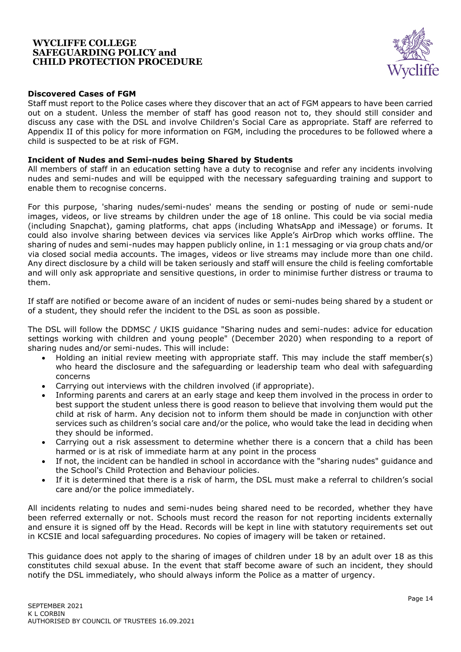

### **Discovered Cases of FGM**

Staff must report to the Police cases where they discover that an act of FGM appears to have been carried out on a student. Unless the member of staff has good reason not to, they should still consider and discuss any case with the DSL and involve Children's Social Care as appropriate. Staff are referred to Appendix II of this policy for more information on FGM, including the procedures to be followed where a child is suspected to be at risk of FGM.

### **Incident of Nudes and Semi-nudes being Shared by Students**

All members of staff in an education setting have a duty to recognise and refer any incidents involving nudes and semi-nudes and will be equipped with the necessary safeguarding training and support to enable them to recognise concerns.

For this purpose, 'sharing nudes/semi-nudes' means the sending or posting of nude or semi-nude images, videos, or live streams by children under the age of 18 online. This could be via social media (including Snapchat), gaming platforms, chat apps (including WhatsApp and iMessage) or forums. It could also involve sharing between devices via services like Apple's AirDrop which works offline. The sharing of nudes and semi-nudes may happen publicly online, in 1:1 messaging or via group chats and/or via closed social media accounts. The images, videos or live streams may include more than one child. Any direct disclosure by a child will be taken seriously and staff will ensure the child is feeling comfortable and will only ask appropriate and sensitive questions, in order to minimise further distress or trauma to them.

If staff are notified or become aware of an incident of nudes or semi-nudes being shared by a student or of a student, they should refer the incident to the DSL as soon as possible.

The DSL will follow the DDMSC / UKIS guidance "Sharing nudes and semi-nudes: advice for education settings working with children and young people" (December 2020) when responding to a report of sharing nudes and/or semi-nudes. This will include:

- Holding an initial review meeting with appropriate staff. This may include the staff member(s) who heard the disclosure and the safeguarding or leadership team who deal with safeguarding concerns
- Carrying out interviews with the children involved (if appropriate).
- Informing parents and carers at an early stage and keep them involved in the process in order to best support the student unless there is good reason to believe that involving them would put the child at risk of harm. Any decision not to inform them should be made in conjunction with other services such as children's social care and/or the police, who would take the lead in deciding when they should be informed.
- Carrying out a risk assessment to determine whether there is a concern that a child has been harmed or is at risk of immediate harm at any point in the process
- If not, the incident can be handled in school in accordance with the "sharing nudes" guidance and the School's Child Protection and Behaviour policies.
- If it is determined that there is a risk of harm, the DSL must make a referral to children's social care and/or the police immediately.

All incidents relating to nudes and semi-nudes being shared need to be recorded, whether they have been referred externally or not. Schools must record the reason for not reporting incidents externally and ensure it is signed off by the Head. Records will be kept in line with statutory requirements set out in KCSIE and local safeguarding procedures. No copies of imagery will be taken or retained.

This guidance does not apply to the sharing of images of children under 18 by an adult over 18 as this constitutes child sexual abuse. In the event that staff become aware of such an incident, they should notify the DSL immediately, who should always inform the Police as a matter of urgency.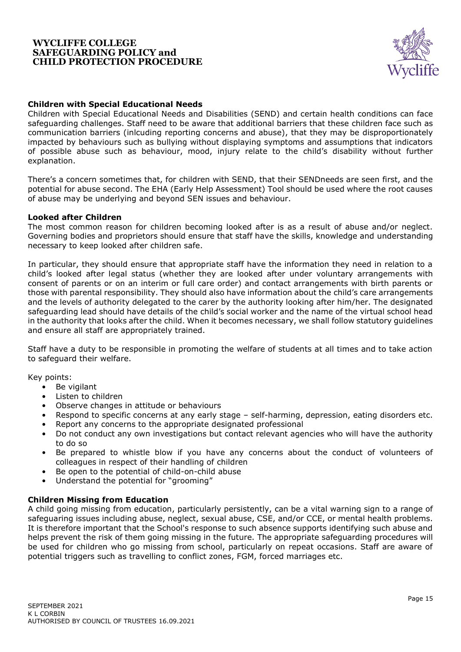

### **Children with Special Educational Needs**

Children with Special Educational Needs and Disabilities (SEND) and certain health conditions can face safeguarding challenges. Staff need to be aware that additional barriers that these children face such as communication barriers (inlcuding reporting concerns and abuse), that they may be disproportionately impacted by behaviours such as bullying without displaying symptoms and assumptions that indicators of possible abuse such as behaviour, mood, injury relate to the child's disability without further explanation.

There's a concern sometimes that, for children with SEND, that their SENDneeds are seen first, and the potential for abuse second. The EHA (Early Help Assessment) Tool should be used where the root causes of abuse may be underlying and beyond SEN issues and behaviour.

#### **Looked after Children**

The most common reason for children becoming looked after is as a result of abuse and/or neglect. Governing bodies and proprietors should ensure that staff have the skills, knowledge and understanding necessary to keep looked after children safe.

In particular, they should ensure that appropriate staff have the information they need in relation to a child's looked after legal status (whether they are looked after under voluntary arrangements with consent of parents or on an interim or full care order) and contact arrangements with birth parents or those with parental responsibility. They should also have information about the child's care arrangements and the levels of authority delegated to the carer by the authority looking after him/her. The designated safeguarding lead should have details of the child's social worker and the name of the virtual school head in the authority that looks after the child. When it becomes necessary, we shall follow statutory guidelines and ensure all staff are appropriately trained.

Staff have a duty to be responsible in promoting the welfare of students at all times and to take action to safeguard their welfare.

Key points:

- Be vigilant
- Listen to children
- Observe changes in attitude or behaviours
- Respond to specific concerns at any early stage self-harming, depression, eating disorders etc.
- Report any concerns to the appropriate designated professional
- Do not conduct any own investigations but contact relevant agencies who will have the authority to do so
- Be prepared to whistle blow if you have any concerns about the conduct of volunteers of colleagues in respect of their handling of children
- Be open to the potential of child-on-child abuse
- Understand the potential for "grooming"

#### **Children Missing from Education**

A child going missing from education, particularly persistently, can be a vital warning sign to a range of safeguaring issues including abuse, neglect, sexual abuse, CSE, and/or CCE, or mental health problems. It is therefore important that the School's response to such absence supports identifying such abuse and helps prevent the risk of them going missing in the future. The appropriate safeguarding procedures will be used for children who go missing from school, particularly on repeat occasions. Staff are aware of potential triggers such as travelling to conflict zones, FGM, forced marriages etc.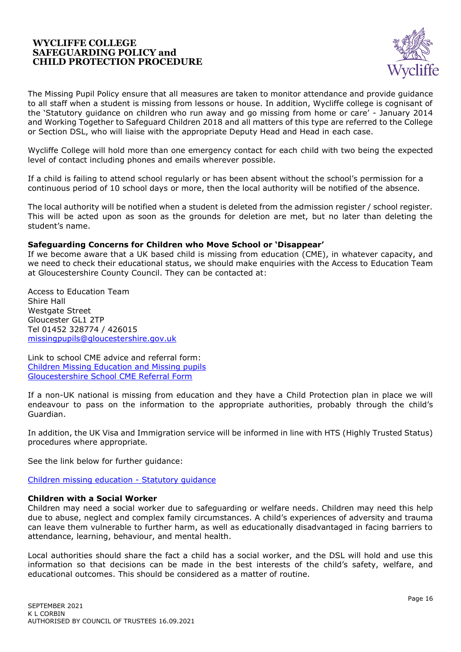

The Missing Pupil Policy ensure that all measures are taken to monitor attendance and provide guidance to all staff when a student is missing from lessons or house. In addition, Wycliffe college is cognisant of the 'Statutory guidance on children who run away and go missing from home or care' - January 2014 and Working Together to Safeguard Children 2018 and all matters of this type are referred to the College or Section DSL, who will liaise with the appropriate Deputy Head and Head in each case.

Wycliffe College will hold more than one emergency contact for each child with two being the expected level of contact including phones and emails wherever possible.

If a child is failing to attend school regularly or has been absent without the school's permission for a continuous period of 10 school days or more, then the local authority will be notified of the absence.

The local authority will be notified when a student is deleted from the admission register / school register. This will be acted upon as soon as the grounds for deletion are met, but no later than deleting the student's name.

#### **Safeguarding Concerns for Children who Move School or 'Disappear'**

If we become aware that a UK based child is missing from education (CME), in whatever capacity, and we need to check their educational status, we should make enquiries with the Access to Education Team at Gloucestershire County Council. They can be contacted at:

Access to Education Team Shire Hall Westgate Street Gloucester GL1 2TP Tel 01452 328774 / 426015 [missingpupils@gloucestershire.gov.uk](mailto:missingpupils@gloucestershire.gov.uk)

Link to school CME advice and referral form: [Children Missing Education and Missing pupils](https://www.gloucestershire.gov.uk/media/2107187/cme-guide-july-2020.pdf) [Gloucestershire School CME Referral Form](https://www.gloucestershire.gov.uk/media/15312/cme-referral-form-schools.docx)

If a non-UK national is missing from education and they have a Child Protection plan in place we will endeavour to pass on the information to the appropriate authorities, probably through the child's Guardian.

In addition, the UK Visa and Immigration service will be informed in line with HTS (Highly Trusted Status) procedures where appropriate.

See the link below for further guidance:

#### [Children missing education -](https://www.gov.uk/government/uploads/system/uploads/attachment_data/file/550416/Children_%20Missing_Education_-_statutory_guidance.pdf) Statutory guidance

#### **Children with a Social Worker**

Children may need a social worker due to safeguarding or welfare needs. Children may need this help due to abuse, neglect and complex family circumstances. A child's experiences of adversity and trauma can leave them vulnerable to further harm, as well as educationally disadvantaged in facing barriers to attendance, learning, behaviour, and mental health.

Local authorities should share the fact a child has a social worker, and the DSL will hold and use this information so that decisions can be made in the best interests of the child's safety, welfare, and educational outcomes. This should be considered as a matter of routine.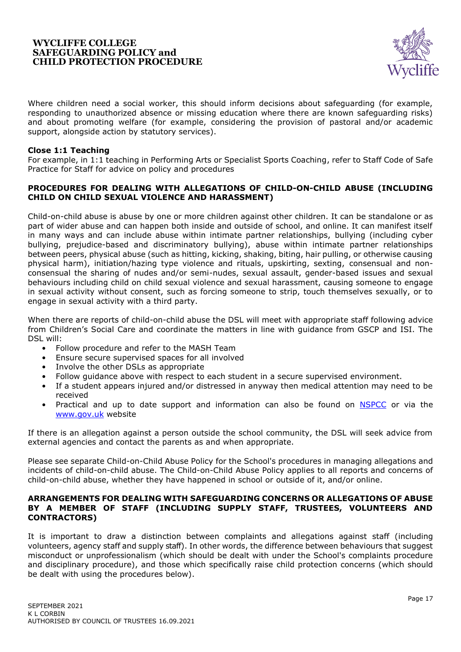

Where children need a social worker, this should inform decisions about safeguarding (for example, responding to unauthorized absence or missing education where there are known safeguarding risks) and about promoting welfare (for example, considering the provision of pastoral and/or academic support, alongside action by statutory services).

#### **Close 1:1 Teaching**

For example, in 1:1 teaching in Performing Arts or Specialist Sports Coaching, refer to Staff Code of Safe Practice for Staff for advice on policy and procedures

### <span id="page-16-0"></span>**PROCEDURES FOR DEALING WITH ALLEGATIONS OF CHILD-ON-CHILD ABUSE (INCLUDING CHILD ON CHILD SEXUAL VIOLENCE AND HARASSMENT)**

Child-on-child abuse is abuse by one or more children against other children. It can be standalone or as part of wider abuse and can happen both inside and outside of school, and online. It can manifest itself in many ways and can include abuse within intimate partner relationships, bullying (including cyber bullying, prejudice-based and discriminatory bullying), abuse within intimate partner relationships between peers, physical abuse (such as hitting, kicking, shaking, biting, hair pulling, or otherwise causing physical harm), initiation/hazing type violence and rituals, upskirting, sexting, consensual and nonconsensual the sharing of nudes and/or semi-nudes, sexual assault, gender-based issues and sexual behaviours including child on child sexual violence and sexual harassment, causing someone to engage in sexual activity without consent, such as forcing someone to strip, touch themselves sexually, or to engage in sexual activity with a third party.

When there are reports of child-on-child abuse the DSL will meet with appropriate staff following advice from Children's Social Care and coordinate the matters in line with guidance from GSCP and ISI. The DSL will:

- Follow procedure and refer to the MASH Team
- Ensure secure supervised spaces for all involved
- Involve the other DSLs as appropriate
- Follow guidance above with respect to each student in a secure supervised environment.
- If a student appears injured and/or distressed in anyway then medical attention may need to be received
- Practical and up to date support and information can also be found on [NSPCC](http://www.nspcc.org.uk/) or via the [www.gov.uk](http://www.gov.uk/) website

If there is an allegation against a person outside the school community, the DSL will seek advice from external agencies and contact the parents as and when appropriate.

Please see separate Child-on-Child Abuse Policy for the School's procedures in managing allegations and incidents of child-on-child abuse. The Child-on-Child Abuse Policy applies to all reports and concerns of child-on-child abuse, whether they have happened in school or outside of it, and/or online.

#### <span id="page-16-1"></span>**ARRANGEMENTS FOR DEALING WITH SAFEGUARDING CONCERNS OR ALLEGATIONS OF ABUSE BY A MEMBER OF STAFF (INCLUDING SUPPLY STAFF, TRUSTEES, VOLUNTEERS AND CONTRACTORS)**

It is important to draw a distinction between complaints and allegations against staff (including volunteers, agency staff and supply staff). In other words, the difference between behaviours that suggest misconduct or unprofessionalism (which should be dealt with under the School's complaints procedure and disciplinary procedure), and those which specifically raise child protection concerns (which should be dealt with using the procedures below).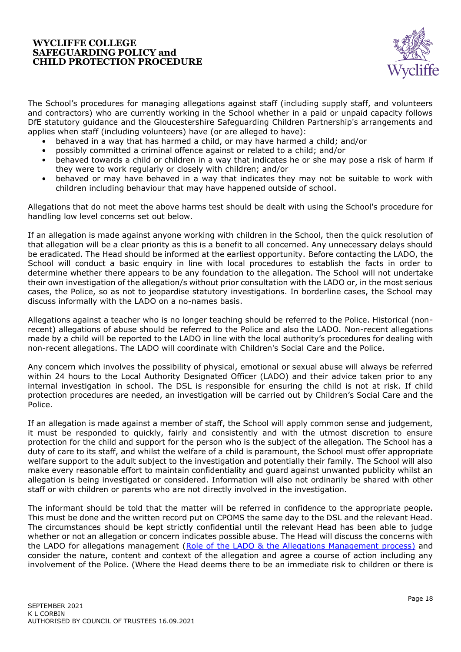

The School's procedures for managing allegations against staff (including supply staff, and volunteers and contractors) who are currently working in the School whether in a paid or unpaid capacity follows DfE statutory guidance and the Gloucestershire Safeguarding Children Partnership's arrangements and applies when staff (including volunteers) have (or are alleged to have):

- behaved in a way that has harmed a child, or may have harmed a child; and/or
- possibly committed a criminal offence against or related to a child; and/or
- behaved towards a child or children in a way that indicates he or she may pose a risk of harm if they were to work regularly or closely with children; and/or
- behaved or may have behaved in a way that indicates they may not be suitable to work with children including behaviour that may have happened outside of school.

Allegations that do not meet the above harms test should be dealt with using the School's procedure for handling low level concerns set out below.

If an allegation is made against anyone working with children in the School, then the quick resolution of that allegation will be a clear priority as this is a benefit to all concerned. Any unnecessary delays should be eradicated. The Head should be informed at the earliest opportunity. Before contacting the LADO, the School will conduct a basic enquiry in line with local procedures to establish the facts in order to determine whether there appears to be any foundation to the allegation. The School will not undertake their own investigation of the allegation/s without prior consultation with the LADO or, in the most serious cases, the Police, so as not to jeopardise statutory investigations. In borderline cases, the School may discuss informally with the LADO on a no-names basis.

Allegations against a teacher who is no longer teaching should be referred to the Police. Historical (nonrecent) allegations of abuse should be referred to the Police and also the LADO. Non-recent allegations made by a child will be reported to the LADO in line with the local authority's procedures for dealing with non-recent allegations. The LADO will coordinate with Children's Social Care and the Police.

Any concern which involves the possibility of physical, emotional or sexual abuse will always be referred within 24 hours to the Local Authority Designated Officer (LADO) and their advice taken prior to any internal investigation in school. The DSL is responsible for ensuring the child is not at risk. If child protection procedures are needed, an investigation will be carried out by Children's Social Care and the Police.

If an allegation is made against a member of staff, the School will apply common sense and judgement, it must be responded to quickly, fairly and consistently and with the utmost discretion to ensure protection for the child and support for the person who is the subject of the allegation. The School has a duty of care to its staff, and whilst the welfare of a child is paramount, the School must offer appropriate welfare support to the adult subject to the investigation and potentially their family. The School will also make every reasonable effort to maintain confidentiality and guard against unwanted publicity whilst an allegation is being investigated or considered. Information will also not ordinarily be shared with other staff or with children or parents who are not directly involved in the investigation.

The informant should be told that the matter will be referred in confidence to the appropriate people. This must be done and the written record put on CPOMS the same day to the DSL and the relevant Head. The circumstances should be kept strictly confidential until the relevant Head has been able to judge whether or not an allegation or concern indicates possible abuse. The Head will discuss the concerns with the LADO for allegations management [\(Role of the LADO & the Allegations Management process\)](https://www.gloucestershire.gov.uk/gscp/lado-allegations/) and consider the nature, content and context of the allegation and agree a course of action including any involvement of the Police. (Where the Head deems there to be an immediate risk to children or there is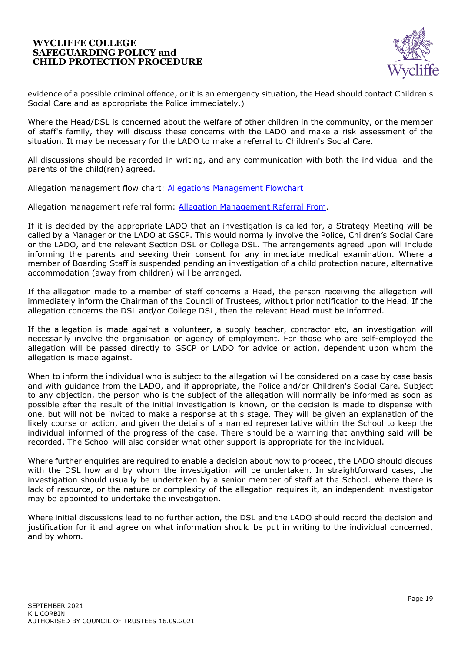

evidence of a possible criminal offence, or it is an emergency situation, the Head should contact Children's Social Care and as appropriate the Police immediately.)

Where the Head/DSL is concerned about the welfare of other children in the community, or the member of staff's family, they will discuss these concerns with the LADO and make a risk assessment of the situation. It may be necessary for the LADO to make a referral to Children's Social Care.

All discussions should be recorded in writing, and any communication with both the individual and the parents of the child(ren) agreed.

Allegation management flow chart: **Allegations Management Flowchart** 

Allegation management referral form: [Allegation Management Referral From.](https://www.gloucestershire.gov.uk/media/2106171/amm-referral-form-v3-sept-2020.docx)

If it is decided by the appropriate LADO that an investigation is called for, a Strategy Meeting will be called by a Manager or the LADO at GSCP. This would normally involve the Police, Children's Social Care or the LADO, and the relevant Section DSL or College DSL. The arrangements agreed upon will include informing the parents and seeking their consent for any immediate medical examination. Where a member of Boarding Staff is suspended pending an investigation of a child protection nature, alternative accommodation (away from children) will be arranged.

If the allegation made to a member of staff concerns a Head, the person receiving the allegation will immediately inform the Chairman of the Council of Trustees, without prior notification to the Head. If the allegation concerns the DSL and/or College DSL, then the relevant Head must be informed.

If the allegation is made against a volunteer, a supply teacher, contractor etc, an investigation will necessarily involve the organisation or agency of employment. For those who are self-employed the allegation will be passed directly to GSCP or LADO for advice or action, dependent upon whom the allegation is made against.

When to inform the individual who is subject to the allegation will be considered on a case by case basis and with guidance from the LADO, and if appropriate, the Police and/or Children's Social Care. Subject to any objection, the person who is the subject of the allegation will normally be informed as soon as possible after the result of the initial investigation is known, or the decision is made to dispense with one, but will not be invited to make a response at this stage. They will be given an explanation of the likely course or action, and given the details of a named representative within the School to keep the individual informed of the progress of the case. There should be a warning that anything said will be recorded. The School will also consider what other support is appropriate for the individual.

Where further enquiries are required to enable a decision about how to proceed, the LADO should discuss with the DSL how and by whom the investigation will be undertaken. In straightforward cases, the investigation should usually be undertaken by a senior member of staff at the School. Where there is lack of resource, or the nature or complexity of the allegation requires it, an independent investigator may be appointed to undertake the investigation.

Where initial discussions lead to no further action, the DSL and the LADO should record the decision and justification for it and agree on what information should be put in writing to the individual concerned, and by whom.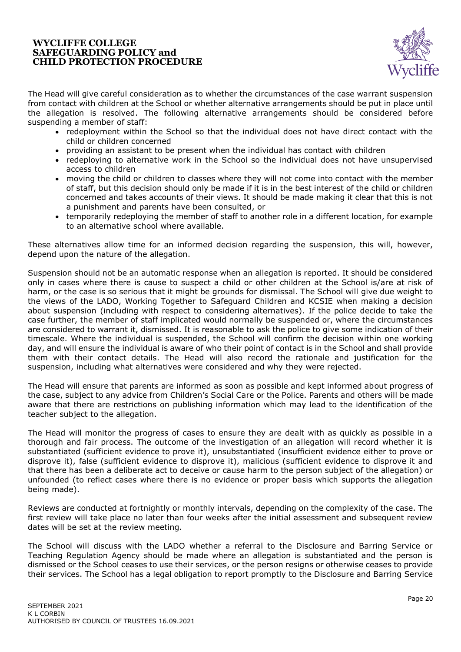

The Head will give careful consideration as to whether the circumstances of the case warrant suspension from contact with children at the School or whether alternative arrangements should be put in place until the allegation is resolved. The following alternative arrangements should be considered before suspending a member of staff:

- redeployment within the School so that the individual does not have direct contact with the child or children concerned
- providing an assistant to be present when the individual has contact with children
- redeploying to alternative work in the School so the individual does not have unsupervised access to children
- moving the child or children to classes where they will not come into contact with the member of staff, but this decision should only be made if it is in the best interest of the child or children concerned and takes accounts of their views. It should be made making it clear that this is not a punishment and parents have been consulted, or
- temporarily redeploying the member of staff to another role in a different location, for example to an alternative school where available.

These alternatives allow time for an informed decision regarding the suspension, this will, however, depend upon the nature of the allegation.

Suspension should not be an automatic response when an allegation is reported. It should be considered only in cases where there is cause to suspect a child or other children at the School is/are at risk of harm, or the case is so serious that it might be grounds for dismissal. The School will give due weight to the views of the LADO, Working Together to Safeguard Children and KCSIE when making a decision about suspension (including with respect to considering alternatives). If the police decide to take the case further, the member of staff implicated would normally be suspended or, where the circumstances are considered to warrant it, dismissed. It is reasonable to ask the police to give some indication of their timescale. Where the individual is suspended, the School will confirm the decision within one working day, and will ensure the individual is aware of who their point of contact is in the School and shall provide them with their contact details. The Head will also record the rationale and justification for the suspension, including what alternatives were considered and why they were rejected.

The Head will ensure that parents are informed as soon as possible and kept informed about progress of the case, subject to any advice from Children's Social Care or the Police. Parents and others will be made aware that there are restrictions on publishing information which may lead to the identification of the teacher subject to the allegation.

The Head will monitor the progress of cases to ensure they are dealt with as quickly as possible in a thorough and fair process. The outcome of the investigation of an allegation will record whether it is substantiated (sufficient evidence to prove it), unsubstantiated (insufficient evidence either to prove or disprove it), false (sufficient evidence to disprove it), malicious (sufficient evidence to disprove it and that there has been a deliberate act to deceive or cause harm to the person subject of the allegation) or unfounded (to reflect cases where there is no evidence or proper basis which supports the allegation being made).

Reviews are conducted at fortnightly or monthly intervals, depending on the complexity of the case. The first review will take place no later than four weeks after the initial assessment and subsequent review dates will be set at the review meeting.

The School will discuss with the LADO whether a referral to the Disclosure and Barring Service or Teaching Regulation Agency should be made where an allegation is substantiated and the person is dismissed or the School ceases to use their services, or the person resigns or otherwise ceases to provide their services. The School has a legal obligation to report promptly to the Disclosure and Barring Service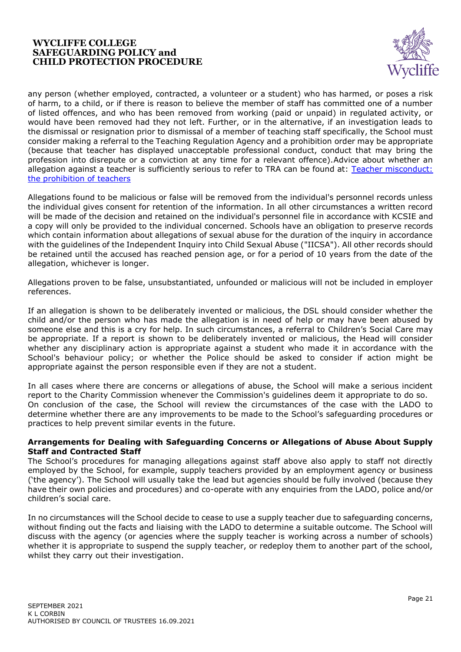

any person (whether employed, contracted, a volunteer or a student) who has harmed, or poses a risk of harm, to a child, or if there is reason to believe the member of staff has committed one of a number of listed offences, and who has been removed from working (paid or unpaid) in regulated activity, or would have been removed had they not left. Further, or in the alternative, if an investigation leads to the dismissal or resignation prior to dismissal of a member of teaching staff specifically, the School must consider making a referral to the Teaching Regulation Agency and a prohibition order may be appropriate (because that teacher has displayed unacceptable professional conduct, conduct that may bring the profession into disrepute or a conviction at any time for a relevant offence).Advice about whether an allegation against a teacher is sufficiently serious to refer to TRA can be found at: [Teacher misconduct:](https://www.gov.uk/government/publications/teacher-misconduct-the-prohibition-of-teachers--3)  [the prohibition of teachers](https://www.gov.uk/government/publications/teacher-misconduct-the-prohibition-of-teachers--3)

Allegations found to be malicious or false will be removed from the individual's personnel records unless the individual gives consent for retention of the information. In all other circumstances a written record will be made of the decision and retained on the individual's personnel file in accordance with KCSIE and a copy will only be provided to the individual concerned. Schools have an obligation to preserve records which contain information about allegations of sexual abuse for the duration of the inquiry in accordance with the guidelines of the Independent Inquiry into Child Sexual Abuse ("IICSA"). All other records should be retained until the accused has reached pension age, or for a period of 10 years from the date of the allegation, whichever is longer.

Allegations proven to be false, unsubstantiated, unfounded or malicious will not be included in employer references.

If an allegation is shown to be deliberately invented or malicious, the DSL should consider whether the child and/or the person who has made the allegation is in need of help or may have been abused by someone else and this is a cry for help. In such circumstances, a referral to Children's Social Care may be appropriate. If a report is shown to be deliberately invented or malicious, the Head will consider whether any disciplinary action is appropriate against a student who made it in accordance with the School's behaviour policy; or whether the Police should be asked to consider if action might be appropriate against the person responsible even if they are not a student.

In all cases where there are concerns or allegations of abuse, the School will make a serious incident report to the Charity Commission whenever the Commission's guidelines deem it appropriate to do so. On conclusion of the case, the School will review the circumstances of the case with the LADO to determine whether there are any improvements to be made to the School's safeguarding procedures or practices to help prevent similar events in the future.

#### **Arrangements for Dealing with Safeguarding Concerns or Allegations of Abuse About Supply Staff and Contracted Staff**

The School's procedures for managing allegations against staff above also apply to staff not directly employed by the School, for example, supply teachers provided by an employment agency or business ('the agency'). The School will usually take the lead but agencies should be fully involved (because they have their own policies and procedures) and co-operate with any enquiries from the LADO, police and/or children's social care.

In no circumstances will the School decide to cease to use a supply teacher due to safeguarding concerns, without finding out the facts and liaising with the LADO to determine a suitable outcome. The School will discuss with the agency (or agencies where the supply teacher is working across a number of schools) whether it is appropriate to suspend the supply teacher, or redeploy them to another part of the school, whilst they carry out their investigation.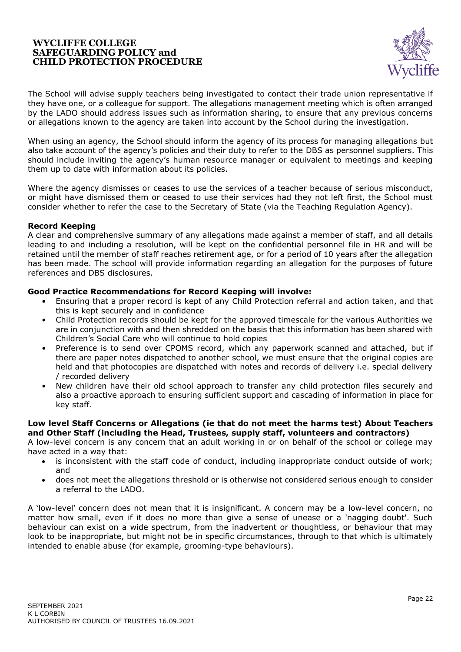

The School will advise supply teachers being investigated to contact their trade union representative if they have one, or a colleague for support. The allegations management meeting which is often arranged by the LADO should address issues such as information sharing, to ensure that any previous concerns or allegations known to the agency are taken into account by the School during the investigation.

When using an agency, the School should inform the agency of its process for managing allegations but also take account of the agency's policies and their duty to refer to the DBS as personnel suppliers. This should include inviting the agency's human resource manager or equivalent to meetings and keeping them up to date with information about its policies.

Where the agency dismisses or ceases to use the services of a teacher because of serious misconduct, or might have dismissed them or ceased to use their services had they not left first, the School must consider whether to refer the case to the Secretary of State (via the Teaching Regulation Agency).

### **Record Keeping**

A clear and comprehensive summary of any allegations made against a member of staff, and all details leading to and including a resolution, will be kept on the confidential personnel file in HR and will be retained until the member of staff reaches retirement age, or for a period of 10 years after the allegation has been made. The school will provide information regarding an allegation for the purposes of future references and DBS disclosures.

### **Good Practice Recommendations for Record Keeping will involve:**

- Ensuring that a proper record is kept of any Child Protection referral and action taken, and that this is kept securely and in confidence
- Child Protection records should be kept for the approved timescale for the various Authorities we are in conjunction with and then shredded on the basis that this information has been shared with Children's Social Care who will continue to hold copies
- Preference is to send over CPOMS record, which any paperwork scanned and attached, but if there are paper notes dispatched to another school, we must ensure that the original copies are held and that photocopies are dispatched with notes and records of delivery i.e. special delivery / recorded delivery
- New children have their old school approach to transfer any child protection files securely and also a proactive approach to ensuring sufficient support and cascading of information in place for key staff.

#### **Low level Staff Concerns or Allegations (ie that do not meet the harms test) About Teachers and Other Staff (including the Head, Trustees, supply staff, volunteers and contractors)**

A low-level concern is any concern that an adult working in or on behalf of the school or college may have acted in a way that:

- is inconsistent with the staff code of conduct, including inappropriate conduct outside of work; and
- does not meet the allegations threshold or is otherwise not considered serious enough to consider a referral to the LADO.

A 'low-level' concern does not mean that it is insignificant. A concern may be a low-level concern, no matter how small, even if it does no more than give a sense of unease or a 'nagging doubt'. Such behaviour can exist on a wide spectrum, from the inadvertent or thoughtless, or behaviour that may look to be inappropriate, but might not be in specific circumstances, through to that which is ultimately intended to enable abuse (for example, grooming-type behaviours).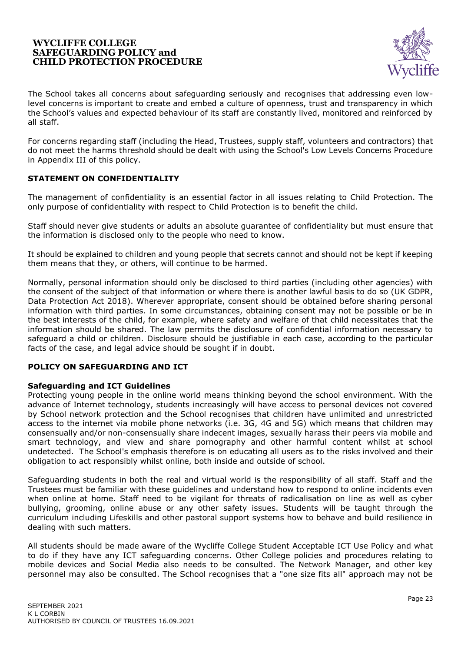

The School takes all concerns about safeguarding seriously and recognises that addressing even lowlevel concerns is important to create and embed a culture of openness, trust and transparency in which the School's values and expected behaviour of its staff are constantly lived, monitored and reinforced by all staff.

For concerns regarding staff (including the Head, Trustees, supply staff, volunteers and contractors) that do not meet the harms threshold should be dealt with using the School's Low Levels Concerns Procedure in Appendix III of this policy.

## <span id="page-22-0"></span>**STATEMENT ON CONFIDENTIALITY**

The management of confidentiality is an essential factor in all issues relating to Child Protection. The only purpose of confidentiality with respect to Child Protection is to benefit the child.

Staff should never give students or adults an absolute guarantee of confidentiality but must ensure that the information is disclosed only to the people who need to know.

It should be explained to children and young people that secrets cannot and should not be kept if keeping them means that they, or others, will continue to be harmed.

Normally, personal information should only be disclosed to third parties (including other agencies) with the consent of the subject of that information or where there is another lawful basis to do so (UK GDPR, Data Protection Act 2018). Wherever appropriate, consent should be obtained before sharing personal information with third parties. In some circumstances, obtaining consent may not be possible or be in the best interests of the child, for example, where safety and welfare of that child necessitates that the information should be shared. The law permits the disclosure of confidential information necessary to safeguard a child or children. Disclosure should be justifiable in each case, according to the particular facts of the case, and legal advice should be sought if in doubt.

#### <span id="page-22-1"></span>**POLICY ON SAFEGUARDING AND ICT**

#### **Safeguarding and ICT Guidelines**

Protecting young people in the online world means thinking beyond the school environment. With the advance of Internet technology, students increasingly will have access to personal devices not covered by School network protection and the School recognises that children have unlimited and unrestricted access to the internet via mobile phone networks (i.e. 3G, 4G and 5G) which means that children may consensually and/or non-consensually share indecent images, sexually harass their peers via mobile and smart technology, and view and share pornography and other harmful content whilst at school undetected. The School's emphasis therefore is on educating all users as to the risks involved and their obligation to act responsibly whilst online, both inside and outside of school.

Safeguarding students in both the real and virtual world is the responsibility of all staff. Staff and the Trustees must be familiar with these guidelines and understand how to respond to online incidents even when online at home. Staff need to be vigilant for threats of radicalisation on line as well as cyber bullying, grooming, online abuse or any other safety issues. Students will be taught through the curriculum including Lifeskills and other pastoral support systems how to behave and build resilience in dealing with such matters.

All students should be made aware of the Wycliffe College Student Acceptable ICT Use Policy and what to do if they have any ICT safeguarding concerns. Other College policies and procedures relating to mobile devices and Social Media also needs to be consulted. The Network Manager, and other key personnel may also be consulted. The School recognises that a "one size fits all" approach may not be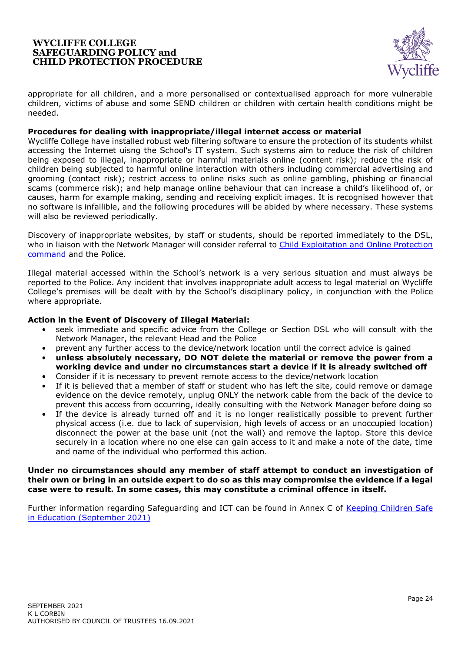

appropriate for all children, and a more personalised or contextualised approach for more vulnerable children, victims of abuse and some SEND children or children with certain health conditions might be needed.

#### **Procedures for dealing with inappropriate/illegal internet access or material**

Wycliffe College have installed robust web filtering software to ensure the protection of its students whilst accessing the Internet uisng the School's IT system. Such systems aim to reduce the risk of children being exposed to illegal, inappropriate or harmful materials online (content risk); reduce the risk of children being subjected to harmful online interaction with others including commercial advertising and grooming (contact risk); restrict access to online risks such as online gambling, phishing or financial scams (commerce risk); and help manage online behaviour that can increase a child's likelihood of, or causes, harm for example making, sending and receiving explicit images. It is recognised however that no software is infallible, and the following procedures will be abided by where necessary. These systems will also be reviewed periodically.

Discovery of inappropriate websites, by staff or students, should be reported immediately to the DSL, who in liaison with the Network Manager will consider referral to Child Exploitation and Online Protection [command](https://ceop.police.uk/) and the Police.

Illegal material accessed within the School's network is a very serious situation and must always be reported to the Police. Any incident that involves inappropriate adult access to legal material on Wycliffe College's premises will be dealt with by the School's disciplinary policy, in conjunction with the Police where appropriate.

#### **Action in the Event of Discovery of Illegal Material:**

- seek immediate and specific advice from the College or Section DSL who will consult with the Network Manager, the relevant Head and the Police
- prevent any further access to the device/network location until the correct advice is gained
- **unless absolutely necessary, DO NOT delete the material or remove the power from a working device and under no circumstances start a device if it is already switched off**
- Consider if it is necessary to prevent remote access to the device/network location
- If it is believed that a member of staff or student who has left the site, could remove or damage evidence on the device remotely, unplug ONLY the network cable from the back of the device to prevent this access from occurring, ideally consulting with the Network Manager before doing so
- If the device is already turned off and it is no longer realistically possible to prevent further physical access (i.e. due to lack of supervision, high levels of access or an unoccupied location) disconnect the power at the base unit (not the wall) and remove the laptop. Store this device securely in a location where no one else can gain access to it and make a note of the date, time and name of the individual who performed this action.

#### **Under no circumstances should any member of staff attempt to conduct an investigation of their own or bring in an outside expert to do so as this may compromise the evidence if a legal case were to result. In some cases, this may constitute a criminal offence in itself.**

Further information regarding Safeguarding and ICT can be found in Annex C of [Keeping Children Safe](https://assets.publishing.service.gov.uk/government/uploads/system/uploads/attachment_data/file/1007260/Keeping_children_safe_in_education_2021.pdf)  [in Education \(September 2021\)](https://assets.publishing.service.gov.uk/government/uploads/system/uploads/attachment_data/file/1007260/Keeping_children_safe_in_education_2021.pdf)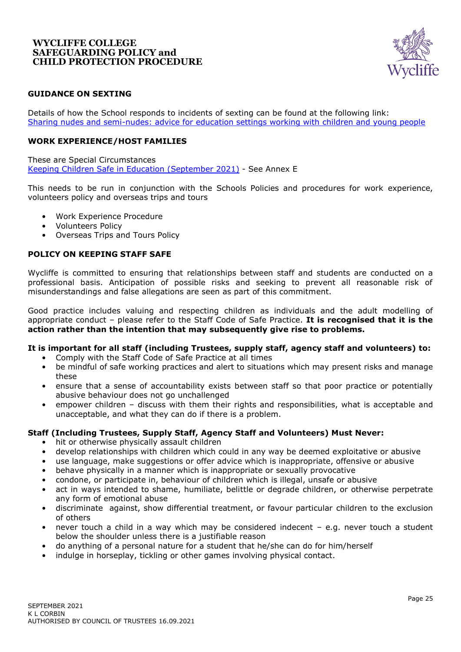

## <span id="page-24-0"></span>**GUIDANCE ON SEXTING**

Details of how the School responds to incidents of sexting can be found at the following link: [Sharing nudes and semi-nudes: advice for education settings working with children and young people](https://www.gov.uk/government/uploads/system/uploads/attachment_data/file/609874/6_2939_S%20P_NCA_Sexting_In_Schools_FINAL_Update_Jan17.pdf)

#### <span id="page-24-1"></span>**WORK EXPERIENCE/HOST FAMILIES**

These are Special Circumstances [Keeping Children Safe in Education \(September 2021\)](https://assets.publishing.service.gov.uk/government/uploads/system/uploads/attachment_data/file/1007260/Keeping_children_safe_in_education_2021.pdf) - See Annex E

This needs to be run in conjunction with the Schools Policies and procedures for work experience, volunteers policy and overseas trips and tours

- Work Experience Procedure
- Volunteers Policy
- Overseas Trips and Tours Policy

#### <span id="page-24-2"></span>**POLICY ON KEEPING STAFF SAFE**

Wycliffe is committed to ensuring that relationships between staff and students are conducted on a professional basis. Anticipation of possible risks and seeking to prevent all reasonable risk of misunderstandings and false allegations are seen as part of this commitment.

Good practice includes valuing and respecting children as individuals and the adult modelling of appropriate conduct – please refer to the Staff Code of Safe Practice. **It is recognised that it is the action rather than the intention that may subsequently give rise to problems.**

#### **It is important for all staff (including Trustees, supply staff, agency staff and volunteers) to:**

- Comply with the Staff Code of Safe Practice at all times
- be mindful of safe working practices and alert to situations which may present risks and manage these
- ensure that a sense of accountability exists between staff so that poor practice or potentially abusive behaviour does not go unchallenged
- empower children discuss with them their rights and responsibilities, what is acceptable and unacceptable, and what they can do if there is a problem.

#### **Staff (Including Trustees, Supply Staff, Agency Staff and Volunteers) Must Never:**

- hit or otherwise physically assault children
- develop relationships with children which could in any way be deemed exploitative or abusive
- use language, make suggestions or offer advice which is inappropriate, offensive or abusive
- behave physically in a manner which is inappropriate or sexually provocative
- condone, or participate in, behaviour of children which is illegal, unsafe or abusive
- act in ways intended to shame, humiliate, belittle or degrade children, or otherwise perpetrate any form of emotional abuse
- discriminate against, show differential treatment, or favour particular children to the exclusion of others
- never touch a child in a way which may be considered indecent e.g. never touch a student below the shoulder unless there is a justifiable reason
- do anything of a personal nature for a student that he/she can do for him/herself
- indulge in horseplay, tickling or other games involving physical contact.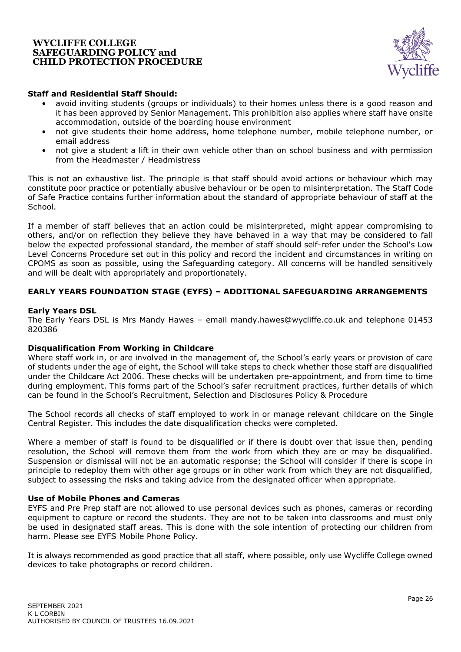

### **Staff and Residential Staff Should:**

- avoid inviting students (groups or individuals) to their homes unless there is a good reason and it has been approved by Senior Management. This prohibition also applies where staff have onsite accommodation, outside of the boarding house environment
- not give students their home address, home telephone number, mobile telephone number, or email address
- not give a student a lift in their own vehicle other than on school business and with permission from the Headmaster / Headmistress

This is not an exhaustive list. The principle is that staff should avoid actions or behaviour which may constitute poor practice or potentially abusive behaviour or be open to misinterpretation. The Staff Code of Safe Practice contains further information about the standard of appropriate behaviour of staff at the School.

If a member of staff believes that an action could be misinterpreted, might appear compromising to others, and/or on reflection they believe they have behaved in a way that may be considered to fall below the expected professional standard, the member of staff should self-refer under the School's Low Level Concerns Procedure set out in this policy and record the incident and circumstances in writing on CPOMS as soon as possible, using the Safeguarding category. All concerns will be handled sensitively and will be dealt with appropriately and proportionately.

### <span id="page-25-0"></span>**EARLY YEARS FOUNDATION STAGE (EYFS) – ADDITIONAL SAFEGUARDING ARRANGEMENTS**

#### **Early Years DSL**

The Early Years DSL is Mrs Mandy Hawes – email mandy.hawes@wycliffe.co.uk and telephone 01453 820386

#### **Disqualification From Working in Childcare**

Where staff work in, or are involved in the management of, the School's early years or provision of care of students under the age of eight, the School will take steps to check whether those staff are disqualified under the Childcare Act 2006. These checks will be undertaken pre-appointment, and from time to time during employment. This forms part of the School's safer recruitment practices, further details of which can be found in the School's Recruitment, Selection and Disclosures Policy & Procedure

The School records all checks of staff employed to work in or manage relevant childcare on the Single Central Register. This includes the date disqualification checks were completed.

Where a member of staff is found to be disqualified or if there is doubt over that issue then, pending resolution, the School will remove them from the work from which they are or may be disqualified. Suspension or dismissal will not be an automatic response; the School will consider if there is scope in principle to redeploy them with other age groups or in other work from which they are not disqualified, subject to assessing the risks and taking advice from the designated officer when appropriate.

#### **Use of Mobile Phones and Cameras**

EYFS and Pre Prep staff are not allowed to use personal devices such as phones, cameras or recording equipment to capture or record the students. They are not to be taken into classrooms and must only be used in designated staff areas. This is done with the sole intention of protecting our children from harm. Please see EYFS Mobile Phone Policy.

It is always recommended as good practice that all staff, where possible, only use Wycliffe College owned devices to take photographs or record children.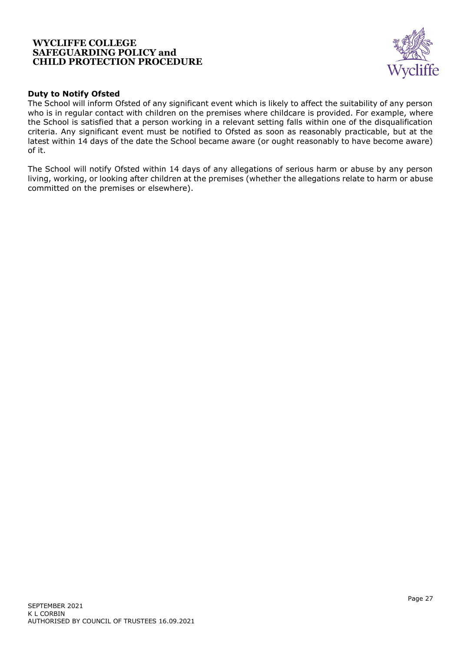

## **Duty to Notify Ofsted**

The School will inform Ofsted of any significant event which is likely to affect the suitability of any person who is in regular contact with children on the premises where childcare is provided. For example, where the School is satisfied that a person working in a relevant setting falls within one of the disqualification criteria. Any significant event must be notified to Ofsted as soon as reasonably practicable, but at the latest within 14 days of the date the School became aware (or ought reasonably to have become aware) of it.

The School will notify Ofsted within 14 days of any allegations of serious harm or abuse by any person living, working, or looking after children at the premises (whether the allegations relate to harm or abuse committed on the premises or elsewhere).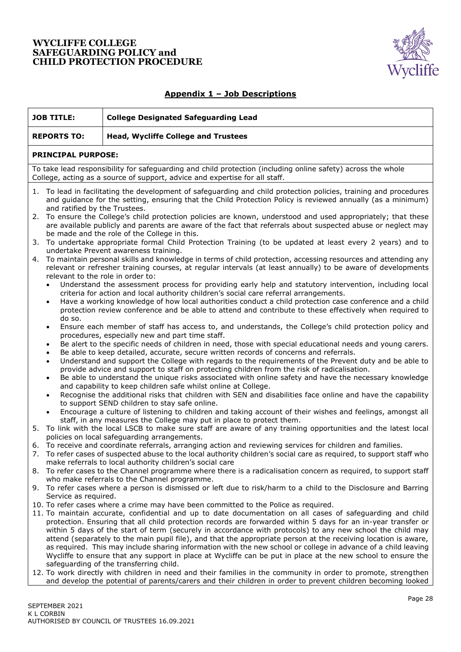

# **Appendix 1 – Job Descriptions**

#### <span id="page-27-0"></span>**JOB TITLE: College Designated Safeguarding Lead REPORTS TO: Head, Wycliffe College and Trustees PRINCIPAL PURPOSE:** To take lead responsibility for safeguarding and child protection (including online safety) across the whole College, acting as a source of support, advice and expertise for all staff. 1. To lead in facilitating the development of safeguarding and child protection policies, training and procedures and guidance for the setting, ensuring that the Child Protection Policy is reviewed annually (as a minimum) and ratified by the Trustees. 2. To ensure the College's child protection policies are known, understood and used appropriately; that these are available publicly and parents are aware of the fact that referrals about suspected abuse or neglect may be made and the role of the College in this. 3. To undertake appropriate formal Child Protection Training (to be updated at least every 2 years) and to undertake Prevent awareness training. 4. To maintain personal skills and knowledge in terms of child protection, accessing resources and attending any relevant or refresher training courses, at regular intervals (at least annually) to be aware of developments relevant to the role in order to: • Understand the assessment process for providing early help and statutory intervention, including local criteria for action and local authority children's social care referral arrangements. • Have a working knowledge of how local authorities conduct a child protection case conference and a child protection review conference and be able to attend and contribute to these effectively when required to do so. • Ensure each member of staff has access to, and understands, the College's child protection policy and procedures, especially new and part time staff. • Be alert to the specific needs of children in need, those with special educational needs and young carers. • Be able to keep detailed, accurate, secure written records of concerns and referrals. • Understand and support the College with regards to the requirements of the Prevent duty and be able to provide advice and support to staff on protecting children from the risk of radicalisation. • Be able to understand the unique risks associated with online safety and have the necessary knowledge and capability to keep children safe whilst online at College. • Recognise the additional risks that children with SEN and disabilities face online and have the capability to support SEND children to stay safe online. • Encourage a culture of listening to children and taking account of their wishes and feelings, amongst all staff, in any measures the College may put in place to protect them. 5. To link with the local LSCB to make sure staff are aware of any training opportunities and the latest local policies on local safeguarding arrangements. 6. To receive and coordinate referrals, arranging action and reviewing services for children and families. 7. To refer cases of suspected abuse to the local authority children's social care as required, to support staff who make referrals to local authority children's social care 8. To refer cases to the Channel programme where there is a radicalisation concern as required, to support staff who make referrals to the Channel programme. 9. To refer cases where a person is dismissed or left due to risk/harm to a child to the Disclosure and Barring Service as required. 10. To refer cases where a crime may have been committed to the Police as required. 11. To maintain accurate, confidential and up to date documentation on all cases of safeguarding and child protection. Ensuring that all child protection records are forwarded within 5 days for an in-year transfer or within 5 days of the start of term (securely in accordance with protocols) to any new school the child may attend (separately to the main pupil file), and that the appropriate person at the receiving location is aware, as required. This may include sharing information with the new school or college in advance of a child leaving Wycliffe to ensure that any support in place at Wycliffe can be put in place at the new school to ensure the safeguarding of the transferring child. 12. To work directly with children in need and their families in the community in order to promote, strengthen and develop the potential of parents/carers and their children in order to prevent children becoming looked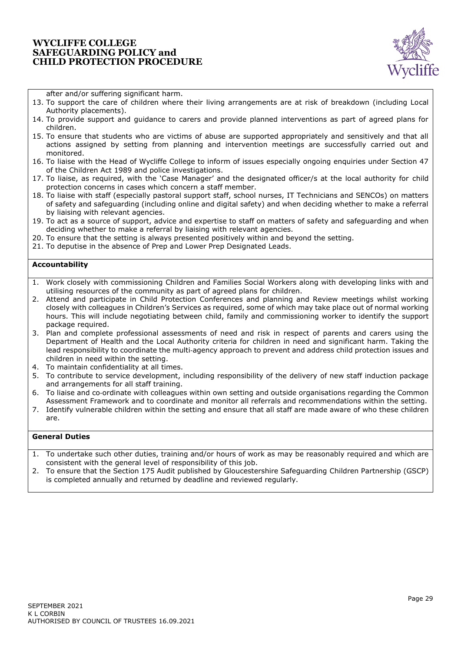

after and/or suffering significant harm.

- 13. To support the care of children where their living arrangements are at risk of breakdown (including Local Authority placements).
- 14. To provide support and guidance to carers and provide planned interventions as part of agreed plans for children.
- 15. To ensure that students who are victims of abuse are supported appropriately and sensitively and that all actions assigned by setting from planning and intervention meetings are successfully carried out and monitored.
- 16. To liaise with the Head of Wycliffe College to inform of issues especially ongoing enquiries under Section 47 of the Children Act 1989 and police investigations.
- 17. To liaise, as required, with the 'Case Manager' and the designated officer/s at the local authority for child protection concerns in cases which concern a staff member.
- 18. To liaise with staff (especially pastoral support staff, school nurses, IT Technicians and SENCOs) on matters of safety and safeguarding (including online and digital safety) and when deciding whether to make a referral by liaising with relevant agencies.
- 19. To act as a source of support, advice and expertise to staff on matters of safety and safeguarding and when deciding whether to make a referral by liaising with relevant agencies.
- 20. To ensure that the setting is always presented positively within and beyond the setting.
- 21. To deputise in the absence of Prep and Lower Prep Designated Leads.

#### **Accountability**

- 1. Work closely with commissioning Children and Families Social Workers along with developing links with and utilising resources of the community as part of agreed plans for children.
- 2. Attend and participate in Child Protection Conferences and planning and Review meetings whilst working closely with colleagues in Children's Services as required, some of which may take place out of normal working hours. This will include negotiating between child, family and commissioning worker to identify the support package required.
- 3. Plan and complete professional assessments of need and risk in respect of parents and carers using the Department of Health and the Local Authority criteria for children in need and significant harm. Taking the lead responsibility to coordinate the multi‐agency approach to prevent and address child protection issues and children in need within the setting.
- 4. To maintain confidentiality at all times.
- 5. To contribute to service development, including responsibility of the delivery of new staff induction package and arrangements for all staff training.
- 6. To liaise and co‐ordinate with colleagues within own setting and outside organisations regarding the Common Assessment Framework and to coordinate and monitor all referrals and recommendations within the setting.
- 7. Identify vulnerable children within the setting and ensure that all staff are made aware of who these children are.

#### **General Duties**

- 1. To undertake such other duties, training and/or hours of work as may be reasonably required and which are consistent with the general level of responsibility of this job.
- 2. To ensure that the Section 175 Audit published by Gloucestershire Safeguarding Children Partnership (GSCP) is completed annually and returned by deadline and reviewed regularly.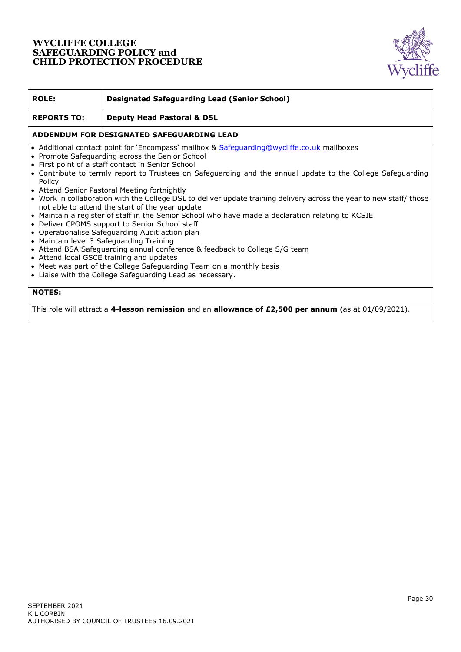

| <b>ROLE:</b>                                                                                                                                                                                                                                                                                                                                                                                                                                                                                                                                                                                                                                                                                                                                                                                                                                                                                                                                                                                                                                                               | <b>Designated Safeguarding Lead (Senior School)</b>                                                  |  |  |  |
|----------------------------------------------------------------------------------------------------------------------------------------------------------------------------------------------------------------------------------------------------------------------------------------------------------------------------------------------------------------------------------------------------------------------------------------------------------------------------------------------------------------------------------------------------------------------------------------------------------------------------------------------------------------------------------------------------------------------------------------------------------------------------------------------------------------------------------------------------------------------------------------------------------------------------------------------------------------------------------------------------------------------------------------------------------------------------|------------------------------------------------------------------------------------------------------|--|--|--|
| <b>REPORTS TO:</b>                                                                                                                                                                                                                                                                                                                                                                                                                                                                                                                                                                                                                                                                                                                                                                                                                                                                                                                                                                                                                                                         | <b>Deputy Head Pastoral &amp; DSL</b>                                                                |  |  |  |
| ADDENDUM FOR DESIGNATED SAFEGUARDING LEAD                                                                                                                                                                                                                                                                                                                                                                                                                                                                                                                                                                                                                                                                                                                                                                                                                                                                                                                                                                                                                                  |                                                                                                      |  |  |  |
| • Additional contact point for 'Encompass' mailbox & Safequarding@wycliffe.co.uk mailboxes<br>• Promote Safeguarding across the Senior School<br>• First point of a staff contact in Senior School<br>• Contribute to termly report to Trustees on Safeguarding and the annual update to the College Safeguarding<br>Policy<br>• Attend Senior Pastoral Meeting fortnightly<br>• Work in collaboration with the College DSL to deliver update training delivery across the year to new staff/ those<br>not able to attend the start of the year update<br>• Maintain a register of staff in the Senior School who have made a declaration relating to KCSIE<br>• Deliver CPOMS support to Senior School staff<br>• Operationalise Safeguarding Audit action plan<br>• Maintain level 3 Safeguarding Training<br>• Attend BSA Safeguarding annual conference & feedback to College S/G team<br>• Attend local GSCE training and updates<br>• Meet was part of the College Safeguarding Team on a monthly basis<br>• Liaise with the College Safeguarding Lead as necessary. |                                                                                                      |  |  |  |
| <b>NOTES:</b>                                                                                                                                                                                                                                                                                                                                                                                                                                                                                                                                                                                                                                                                                                                                                                                                                                                                                                                                                                                                                                                              |                                                                                                      |  |  |  |
|                                                                                                                                                                                                                                                                                                                                                                                                                                                                                                                                                                                                                                                                                                                                                                                                                                                                                                                                                                                                                                                                            | This role will attract a 4-lesson remission and an allowance of £2,500 per annum (as at 01/09/2021). |  |  |  |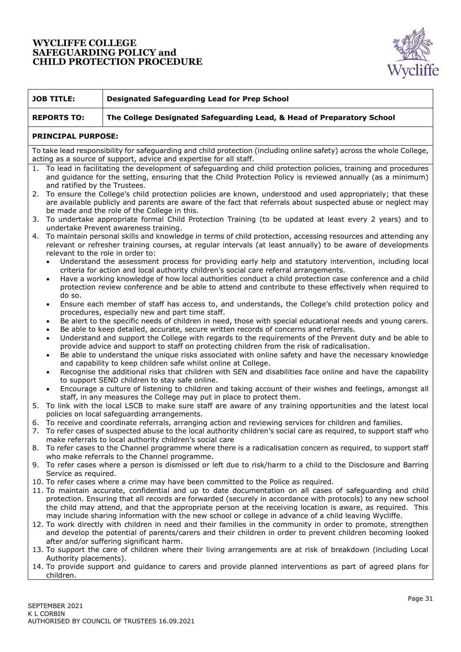

| <b>JOB TITLE:</b>                   | <b>Designated Safeguarding Lead for Prep School</b>                                                                                                                                                                                                                                                                                                                                                                                                                                                                                                                     |  |  |
|-------------------------------------|-------------------------------------------------------------------------------------------------------------------------------------------------------------------------------------------------------------------------------------------------------------------------------------------------------------------------------------------------------------------------------------------------------------------------------------------------------------------------------------------------------------------------------------------------------------------------|--|--|
| <b>REPORTS TO:</b>                  | The College Designated Safeguarding Lead, & Head of Preparatory School                                                                                                                                                                                                                                                                                                                                                                                                                                                                                                  |  |  |
|                                     | <b>PRINCIPAL PURPOSE:</b>                                                                                                                                                                                                                                                                                                                                                                                                                                                                                                                                               |  |  |
|                                     | To take lead responsibility for safeguarding and child protection (including online safety) across the whole College,<br>acting as a source of support, advice and expertise for all staff.                                                                                                                                                                                                                                                                                                                                                                             |  |  |
| and ratified by the Trustees.       | 1. To lead in facilitating the development of safeguarding and child protection policies, training and procedures<br>and guidance for the setting, ensuring that the Child Protection Policy is reviewed annually (as a minimum)                                                                                                                                                                                                                                                                                                                                        |  |  |
|                                     | 2. To ensure the College's child protection policies are known, understood and used appropriately; that these<br>are available publicly and parents are aware of the fact that referrals about suspected abuse or neglect may<br>be made and the role of the College in this.                                                                                                                                                                                                                                                                                           |  |  |
|                                     | 3. To undertake appropriate formal Child Protection Training (to be updated at least every 2 years) and to<br>undertake Prevent awareness training.                                                                                                                                                                                                                                                                                                                                                                                                                     |  |  |
| 4.                                  | To maintain personal skills and knowledge in terms of child protection, accessing resources and attending any<br>relevant or refresher training courses, at regular intervals (at least annually) to be aware of developments<br>relevant to the role in order to:                                                                                                                                                                                                                                                                                                      |  |  |
|                                     | Understand the assessment process for providing early help and statutory intervention, including local<br>criteria for action and local authority children's social care referral arrangements.                                                                                                                                                                                                                                                                                                                                                                         |  |  |
| $\bullet$<br>do so.                 | Have a working knowledge of how local authorities conduct a child protection case conference and a child<br>protection review conference and be able to attend and contribute to these effectively when required to                                                                                                                                                                                                                                                                                                                                                     |  |  |
|                                     | Ensure each member of staff has access to, and understands, the College's child protection policy and<br>procedures, especially new and part time staff.                                                                                                                                                                                                                                                                                                                                                                                                                |  |  |
| $\bullet$                           | Be alert to the specific needs of children in need, those with special educational needs and young carers.<br>Be able to keep detailed, accurate, secure written records of concerns and referrals.                                                                                                                                                                                                                                                                                                                                                                     |  |  |
| $\bullet$                           | Understand and support the College with regards to the requirements of the Prevent duty and be able to<br>provide advice and support to staff on protecting children from the risk of radicalisation.<br>Be able to understand the unique risks associated with online safety and have the necessary knowledge                                                                                                                                                                                                                                                          |  |  |
| $\bullet$                           | and capability to keep children safe whilst online at College.<br>Recognise the additional risks that children with SEN and disabilities face online and have the capability                                                                                                                                                                                                                                                                                                                                                                                            |  |  |
|                                     | to support SEND children to stay safe online.<br>Encourage a culture of listening to children and taking account of their wishes and feelings, amongst all<br>staff, in any measures the College may put in place to protect them.                                                                                                                                                                                                                                                                                                                                      |  |  |
|                                     | 5. To link with the local LSCB to make sure staff are aware of any training opportunities and the latest local<br>policies on local safeguarding arrangements.                                                                                                                                                                                                                                                                                                                                                                                                          |  |  |
| 7.                                  | 6. To receive and coordinate referrals, arranging action and reviewing services for children and families.<br>To refer cases of suspected abuse to the local authority children's social care as required, to support staff who<br>make referrals to local authority children's social care                                                                                                                                                                                                                                                                             |  |  |
|                                     | 8. To refer cases to the Channel programme where there is a radicalisation concern as required, to support staff<br>who make referrals to the Channel programme.                                                                                                                                                                                                                                                                                                                                                                                                        |  |  |
| Service as required.                | 9. To refer cases where a person is dismissed or left due to risk/harm to a child to the Disclosure and Barring                                                                                                                                                                                                                                                                                                                                                                                                                                                         |  |  |
|                                     | 10. To refer cases where a crime may have been committed to the Police as required.<br>11. To maintain accurate, confidential and up to date documentation on all cases of safeguarding and child                                                                                                                                                                                                                                                                                                                                                                       |  |  |
|                                     | protection. Ensuring that all records are forwarded (securely in accordance with protocols) to any new school<br>the child may attend, and that the appropriate person at the receiving location is aware, as required. This<br>may include sharing information with the new school or college in advance of a child leaving Wycliffe.<br>12. To work directly with children in need and their families in the community in order to promote, strengthen<br>and develop the potential of parents/carers and their children in order to prevent children becoming looked |  |  |
|                                     | after and/or suffering significant harm.<br>13. To support the care of children where their living arrangements are at risk of breakdown (including Local                                                                                                                                                                                                                                                                                                                                                                                                               |  |  |
| Authority placements).<br>children. | 14. To provide support and guidance to carers and provide planned interventions as part of agreed plans for                                                                                                                                                                                                                                                                                                                                                                                                                                                             |  |  |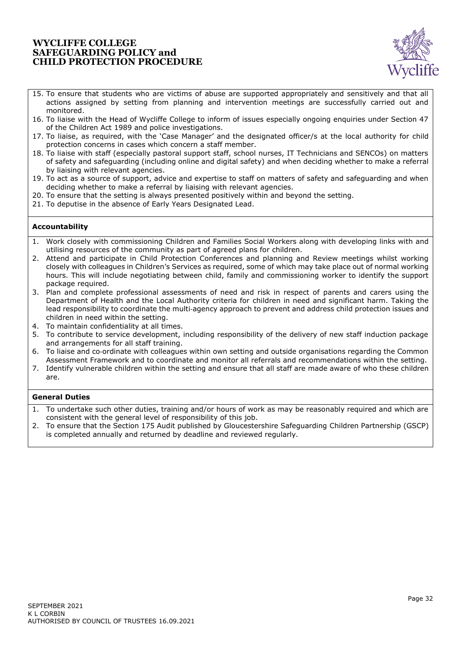

- 15. To ensure that students who are victims of abuse are supported appropriately and sensitively and that all actions assigned by setting from planning and intervention meetings are successfully carried out and monitored.
- 16. To liaise with the Head of Wycliffe College to inform of issues especially ongoing enquiries under Section 47 of the Children Act 1989 and police investigations.
- 17. To liaise, as required, with the 'Case Manager' and the designated officer/s at the local authority for child protection concerns in cases which concern a staff member.
- 18. To liaise with staff (especially pastoral support staff, school nurses, IT Technicians and SENCOs) on matters of safety and safeguarding (including online and digital safety) and when deciding whether to make a referral by liaising with relevant agencies.
- 19. To act as a source of support, advice and expertise to staff on matters of safety and safeguarding and when deciding whether to make a referral by liaising with relevant agencies.
- 20. To ensure that the setting is always presented positively within and beyond the setting.
- 21. To deputise in the absence of Early Years Designated Lead.

#### **Accountability**

- 1. Work closely with commissioning Children and Families Social Workers along with developing links with and utilising resources of the community as part of agreed plans for children.
- 2. Attend and participate in Child Protection Conferences and planning and Review meetings whilst working closely with colleagues in Children's Services as required, some of which may take place out of normal working hours. This will include negotiating between child, family and commissioning worker to identify the support package required.
- 3. Plan and complete professional assessments of need and risk in respect of parents and carers using the Department of Health and the Local Authority criteria for children in need and significant harm. Taking the lead responsibility to coordinate the multi‐agency approach to prevent and address child protection issues and children in need within the setting.
- 4. To maintain confidentiality at all times.
- 5. To contribute to service development, including responsibility of the delivery of new staff induction package and arrangements for all staff training.
- 6. To liaise and co‐ordinate with colleagues within own setting and outside organisations regarding the Common Assessment Framework and to coordinate and monitor all referrals and recommendations within the setting.
- 7. Identify vulnerable children within the setting and ensure that all staff are made aware of who these children are.

#### **General Duties**

- 1. To undertake such other duties, training and/or hours of work as may be reasonably required and which are consistent with the general level of responsibility of this job.
- 2. To ensure that the Section 175 Audit published by Gloucestershire Safeguarding Children Partnership (GSCP) is completed annually and returned by deadline and reviewed regularly.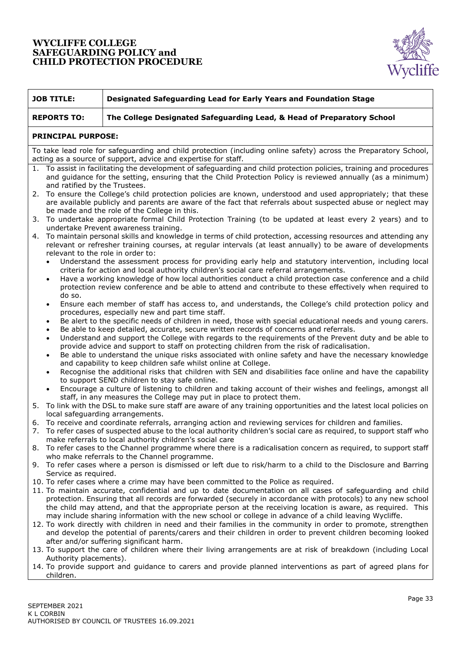

| <b>JOB TITLE:</b><br>Designated Safeguarding Lead for Early Years and Foundation Stage |                                                                                                                                                                                                                                                                                                                                                                                                                                                                                                                                                                         |  |
|----------------------------------------------------------------------------------------|-------------------------------------------------------------------------------------------------------------------------------------------------------------------------------------------------------------------------------------------------------------------------------------------------------------------------------------------------------------------------------------------------------------------------------------------------------------------------------------------------------------------------------------------------------------------------|--|
| <b>REPORTS TO:</b>                                                                     | The College Designated Safeguarding Lead, & Head of Preparatory School                                                                                                                                                                                                                                                                                                                                                                                                                                                                                                  |  |
| <b>PRINCIPAL PURPOSE:</b>                                                              |                                                                                                                                                                                                                                                                                                                                                                                                                                                                                                                                                                         |  |
|                                                                                        | To take lead role for safeguarding and child protection (including online safety) across the Preparatory School,<br>acting as a source of support, advice and expertise for staff.                                                                                                                                                                                                                                                                                                                                                                                      |  |
| 1.<br>and ratified by the Trustees.                                                    | To assist in facilitating the development of safeguarding and child protection policies, training and procedures<br>and guidance for the setting, ensuring that the Child Protection Policy is reviewed annually (as a minimum)                                                                                                                                                                                                                                                                                                                                         |  |
|                                                                                        | 2. To ensure the College's child protection policies are known, understood and used appropriately; that these<br>are available publicly and parents are aware of the fact that referrals about suspected abuse or neglect may<br>be made and the role of the College in this.                                                                                                                                                                                                                                                                                           |  |
|                                                                                        | 3. To undertake appropriate formal Child Protection Training (to be updated at least every 2 years) and to<br>undertake Prevent awareness training.                                                                                                                                                                                                                                                                                                                                                                                                                     |  |
|                                                                                        | 4. To maintain personal skills and knowledge in terms of child protection, accessing resources and attending any<br>relevant or refresher training courses, at regular intervals (at least annually) to be aware of developments<br>relevant to the role in order to:                                                                                                                                                                                                                                                                                                   |  |
| $\bullet$                                                                              | Understand the assessment process for providing early help and statutory intervention, including local<br>criteria for action and local authority children's social care referral arrangements.                                                                                                                                                                                                                                                                                                                                                                         |  |
| $\bullet$<br>do so.                                                                    | Have a working knowledge of how local authorities conduct a child protection case conference and a child<br>protection review conference and be able to attend and contribute to these effectively when required to                                                                                                                                                                                                                                                                                                                                                     |  |
|                                                                                        | Ensure each member of staff has access to, and understands, the College's child protection policy and<br>procedures, especially new and part time staff.                                                                                                                                                                                                                                                                                                                                                                                                                |  |
| $\bullet$                                                                              | Be alert to the specific needs of children in need, those with special educational needs and young carers.<br>Be able to keep detailed, accurate, secure written records of concerns and referrals.                                                                                                                                                                                                                                                                                                                                                                     |  |
| $\bullet$                                                                              | Understand and support the College with regards to the requirements of the Prevent duty and be able to<br>provide advice and support to staff on protecting children from the risk of radicalisation.<br>Be able to understand the unique risks associated with online safety and have the necessary knowledge                                                                                                                                                                                                                                                          |  |
| $\bullet$                                                                              | and capability to keep children safe whilst online at College.<br>Recognise the additional risks that children with SEN and disabilities face online and have the capability                                                                                                                                                                                                                                                                                                                                                                                            |  |
|                                                                                        | to support SEND children to stay safe online.<br>Encourage a culture of listening to children and taking account of their wishes and feelings, amongst all<br>staff, in any measures the College may put in place to protect them.                                                                                                                                                                                                                                                                                                                                      |  |
| 5.                                                                                     | To link with the DSL to make sure staff are aware of any training opportunities and the latest local policies on<br>local safeguarding arrangements.                                                                                                                                                                                                                                                                                                                                                                                                                    |  |
|                                                                                        | 6. To receive and coordinate referrals, arranging action and reviewing services for children and families.<br>7. To refer cases of suspected abuse to the local authority children's social care as required, to support staff who<br>make referrals to local authority children's social care                                                                                                                                                                                                                                                                          |  |
|                                                                                        | 8. To refer cases to the Channel programme where there is a radicalisation concern as required, to support staff<br>who make referrals to the Channel programme.                                                                                                                                                                                                                                                                                                                                                                                                        |  |
| Service as required.                                                                   | 9. To refer cases where a person is dismissed or left due to risk/harm to a child to the Disclosure and Barring                                                                                                                                                                                                                                                                                                                                                                                                                                                         |  |
|                                                                                        | 10. To refer cases where a crime may have been committed to the Police as required.<br>11. To maintain accurate, confidential and up to date documentation on all cases of safeguarding and child                                                                                                                                                                                                                                                                                                                                                                       |  |
|                                                                                        | protection. Ensuring that all records are forwarded (securely in accordance with protocols) to any new school<br>the child may attend, and that the appropriate person at the receiving location is aware, as required. This<br>may include sharing information with the new school or college in advance of a child leaving Wycliffe.<br>12. To work directly with children in need and their families in the community in order to promote, strengthen<br>and develop the potential of parents/carers and their children in order to prevent children becoming looked |  |
|                                                                                        | after and/or suffering significant harm.<br>13. To support the care of children where their living arrangements are at risk of breakdown (including Local                                                                                                                                                                                                                                                                                                                                                                                                               |  |
| Authority placements).<br>children.                                                    | 14. To provide support and guidance to carers and provide planned interventions as part of agreed plans for                                                                                                                                                                                                                                                                                                                                                                                                                                                             |  |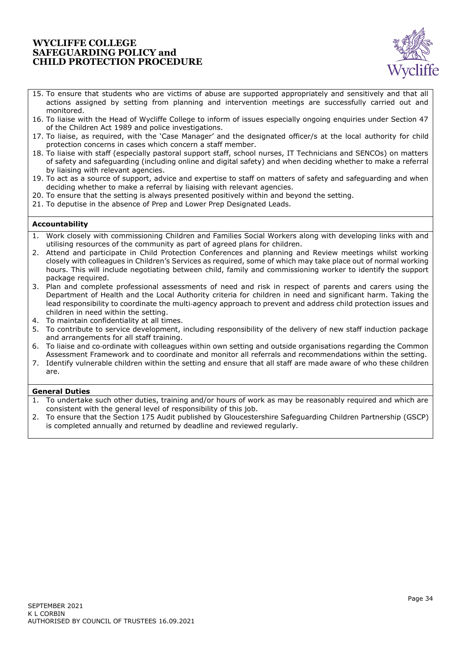

- 15. To ensure that students who are victims of abuse are supported appropriately and sensitively and that all actions assigned by setting from planning and intervention meetings are successfully carried out and monitored.
- 16. To liaise with the Head of Wycliffe College to inform of issues especially ongoing enquiries under Section 47 of the Children Act 1989 and police investigations.
- 17. To liaise, as required, with the 'Case Manager' and the designated officer/s at the local authority for child protection concerns in cases which concern a staff member.
- 18. To liaise with staff (especially pastoral support staff, school nurses, IT Technicians and SENCOs) on matters of safety and safeguarding (including online and digital safety) and when deciding whether to make a referral by liaising with relevant agencies.
- 19. To act as a source of support, advice and expertise to staff on matters of safety and safeguarding and when deciding whether to make a referral by liaising with relevant agencies.
- 20. To ensure that the setting is always presented positively within and beyond the setting.
- 21. To deputise in the absence of Prep and Lower Prep Designated Leads.

#### **Accountability**

- 1. Work closely with commissioning Children and Families Social Workers along with developing links with and utilising resources of the community as part of agreed plans for children.
- 2. Attend and participate in Child Protection Conferences and planning and Review meetings whilst working closely with colleagues in Children's Services as required, some of which may take place out of normal working hours. This will include negotiating between child, family and commissioning worker to identify the support package required.
- 3. Plan and complete professional assessments of need and risk in respect of parents and carers using the Department of Health and the Local Authority criteria for children in need and significant harm. Taking the lead responsibility to coordinate the multi‐agency approach to prevent and address child protection issues and children in need within the setting.
- 4. To maintain confidentiality at all times.
- 5. To contribute to service development, including responsibility of the delivery of new staff induction package and arrangements for all staff training.
- 6. To liaise and co‐ordinate with colleagues within own setting and outside organisations regarding the Common Assessment Framework and to coordinate and monitor all referrals and recommendations within the setting.
- 7. Identify vulnerable children within the setting and ensure that all staff are made aware of who these children are.

#### **General Duties**

- 1. To undertake such other duties, training and/or hours of work as may be reasonably required and which are consistent with the general level of responsibility of this job.
- 2. To ensure that the Section 175 Audit published by Gloucestershire Safeguarding Children Partnership (GSCP) is completed annually and returned by deadline and reviewed regularly.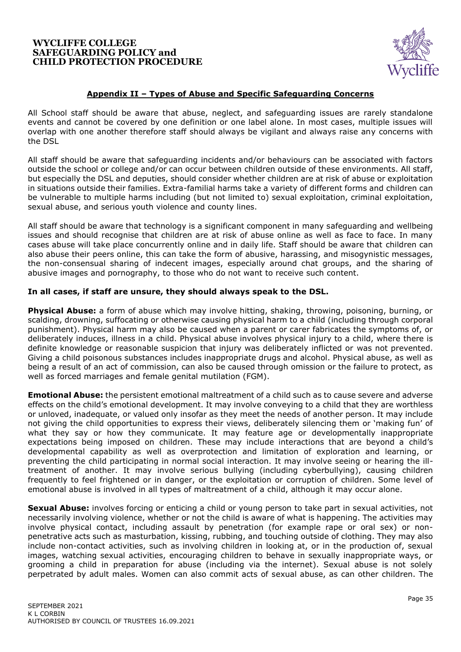

# **Appendix II – Types of Abuse and Specific Safeguarding Concerns**

<span id="page-34-0"></span>All School staff should be aware that abuse, neglect, and safeguarding issues are rarely standalone events and cannot be covered by one definition or one label alone. In most cases, multiple issues will overlap with one another therefore staff should always be vigilant and always raise any concerns with the DSL

All staff should be aware that safeguarding incidents and/or behaviours can be associated with factors outside the school or college and/or can occur between children outside of these environments. All staff, but especially the DSL and deputies, should consider whether children are at risk of abuse or exploitation in situations outside their families. Extra-familial harms take a variety of different forms and children can be vulnerable to multiple harms including (but not limited to) sexual exploitation, criminal exploitation, sexual abuse, and serious youth violence and county lines.

All staff should be aware that technology is a significant component in many safeguarding and wellbeing issues and should recognise that children are at risk of abuse online as well as face to face. In many cases abuse will take place concurrently online and in daily life. Staff should be aware that children can also abuse their peers online, this can take the form of abusive, harassing, and misogynistic messages, the non-consensual sharing of indecent images, especially around chat groups, and the sharing of abusive images and pornography, to those who do not want to receive such content.

## **In all cases, if staff are unsure, they should always speak to the DSL.**

**Physical Abuse:** a form of abuse which may involve hitting, shaking, throwing, poisoning, burning, or scalding, drowning, suffocating or otherwise causing physical harm to a child (including through corporal punishment). Physical harm may also be caused when a parent or carer fabricates the symptoms of, or deliberately induces, illness in a child. Physical abuse involves physical injury to a child, where there is definite knowledge or reasonable suspicion that injury was deliberately inflicted or was not prevented. Giving a child poisonous substances includes inappropriate drugs and alcohol. Physical abuse, as well as being a result of an act of commission, can also be caused through omission or the failure to protect, as well as forced marriages and female genital mutilation (FGM).

**Emotional Abuse:** the persistent emotional maltreatment of a child such as to cause severe and adverse effects on the child's emotional development. It may involve conveying to a child that they are worthless or unloved, inadequate, or valued only insofar as they meet the needs of another person. It may include not giving the child opportunities to express their views, deliberately silencing them or 'making fun' of what they say or how they communicate. It may feature age or developmentally inappropriate expectations being imposed on children. These may include interactions that are beyond a child's developmental capability as well as overprotection and limitation of exploration and learning, or preventing the child participating in normal social interaction. It may involve seeing or hearing the illtreatment of another. It may involve serious bullying (including cyberbullying), causing children frequently to feel frightened or in danger, or the exploitation or corruption of children. Some level of emotional abuse is involved in all types of maltreatment of a child, although it may occur alone.

**Sexual Abuse:** involves forcing or enticing a child or young person to take part in sexual activities, not necessarily involving violence, whether or not the child is aware of what is happening. The activities may involve physical contact, including assault by penetration (for example rape or oral sex) or nonpenetrative acts such as masturbation, kissing, rubbing, and touching outside of clothing. They may also include non-contact activities, such as involving children in looking at, or in the production of, sexual images, watching sexual activities, encouraging children to behave in sexually inappropriate ways, or grooming a child in preparation for abuse (including via the internet). Sexual abuse is not solely perpetrated by adult males. Women can also commit acts of sexual abuse, as can other children. The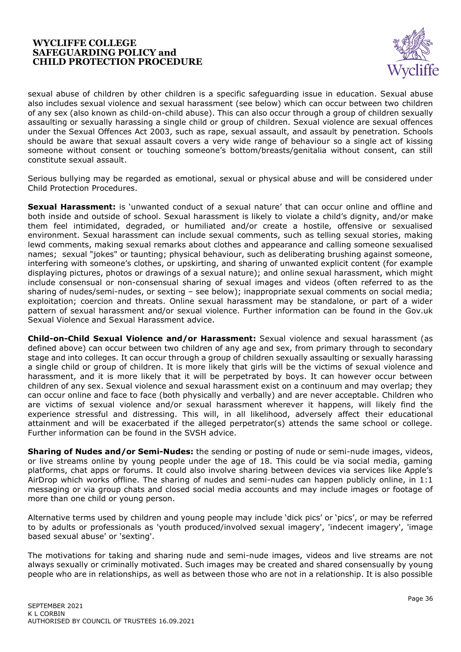

sexual abuse of children by other children is a specific safeguarding issue in education. Sexual abuse also includes sexual violence and sexual harassment (see below) which can occur between two children of any sex (also known as child-on-child abuse). This can also occur through a group of children sexually assaulting or sexually harassing a single child or group of children. Sexual violence are sexual offences under the Sexual Offences Act 2003, such as rape, sexual assault, and assault by penetration. Schools should be aware that sexual assault covers a very wide range of behaviour so a single act of kissing someone without consent or touching someone's bottom/breasts/genitalia without consent, can still constitute sexual assault.

Serious bullying may be regarded as emotional, sexual or physical abuse and will be considered under Child Protection Procedures.

**Sexual Harassment:** is 'unwanted conduct of a sexual nature' that can occur online and offline and both inside and outside of school. Sexual harassment is likely to violate a child's dignity, and/or make them feel intimidated, degraded, or humiliated and/or create a hostile, offensive or sexualised environment. Sexual harassment can include sexual comments, such as telling sexual stories, making lewd comments, making sexual remarks about clothes and appearance and calling someone sexualised names; sexual "jokes" or taunting; physical behaviour, such as deliberating brushing against someone, interfering with someone's clothes, or upskirting, and sharing of unwanted explicit content (for example displaying pictures, photos or drawings of a sexual nature); and online sexual harassment, which might include consensual or non-consensual sharing of sexual images and videos (often referred to as the sharing of nudes/semi-nudes, or sexting – see below); inappropriate sexual comments on social media; exploitation; coercion and threats. Online sexual harassment may be standalone, or part of a wider pattern of sexual harassment and/or sexual violence. Further information can be found in the Gov.uk Sexual Violence and Sexual Harassment advice.

**Child-on-Child Sexual Violence and/or Harassment:** Sexual violence and sexual harassment (as defined above) can occur between two children of any age and sex, from primary through to secondary stage and into colleges. It can occur through a group of children sexually assaulting or sexually harassing a single child or group of children. It is more likely that girls will be the victims of sexual violence and harassment, and it is more likely that it will be perpetrated by boys. It can however occur between children of any sex. Sexual violence and sexual harassment exist on a continuum and may overlap; they can occur online and face to face (both physically and verbally) and are never acceptable. Children who are victims of sexual violence and/or sexual harassment wherever it happens, will likely find the experience stressful and distressing. This will, in all likelihood, adversely affect their educational attainment and will be exacerbated if the alleged perpetrator(s) attends the same school or college. Further information can be found in the SVSH advice.

**Sharing of Nudes and/or Semi-Nudes:** the sending or posting of nude or semi-nude images, videos, or live streams online by young people under the age of 18. This could be via social media, gaming platforms, chat apps or forums. It could also involve sharing between devices via services like Apple's AirDrop which works offline. The sharing of nudes and semi-nudes can happen publicly online, in 1:1 messaging or via group chats and closed social media accounts and may include images or footage of more than one child or young person.

Alternative terms used by children and young people may include 'dick pics' or 'pics', or may be referred to by adults or professionals as 'youth produced/involved sexual imagery', 'indecent imagery', 'image based sexual abuse' or 'sexting'.

The motivations for taking and sharing nude and semi-nude images, videos and live streams are not always sexually or criminally motivated. Such images may be created and shared consensually by young people who are in relationships, as well as between those who are not in a relationship. It is also possible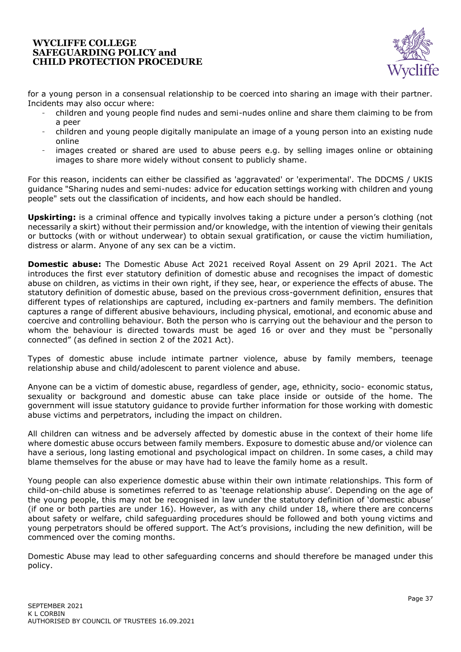

for a young person in a consensual relationship to be coerced into sharing an image with their partner. Incidents may also occur where:

- children and young people find nudes and semi-nudes online and share them claiming to be from a peer
- children and young people digitally manipulate an image of a young person into an existing nude online
- images created or shared are used to abuse peers e.g. by selling images online or obtaining images to share more widely without consent to publicly shame.

For this reason, incidents can either be classified as 'aggravated' or 'experimental'. The DDCMS / UKIS guidance "Sharing nudes and semi-nudes: advice for education settings working with children and young people" sets out the classification of incidents, and how each should be handled.

**Upskirting:** is a criminal offence and typically involves taking a picture under a person's clothing (not necessarily a skirt) without their permission and/or knowledge, with the intention of viewing their genitals or buttocks (with or without underwear) to obtain sexual gratification, or cause the victim humiliation, distress or alarm. Anyone of any sex can be a victim.

**Domestic abuse:** The Domestic Abuse Act 2021 received Royal Assent on 29 April 2021. The Act introduces the first ever statutory definition of domestic abuse and recognises the impact of domestic abuse on children, as victims in their own right, if they see, hear, or experience the effects of abuse. The statutory definition of domestic abuse, based on the previous cross-government definition, ensures that different types of relationships are captured, including ex-partners and family members. The definition captures a range of different abusive behaviours, including physical, emotional, and economic abuse and coercive and controlling behaviour. Both the person who is carrying out the behaviour and the person to whom the behaviour is directed towards must be aged 16 or over and they must be "personally connected" (as defined in section 2 of the 2021 Act).

Types of domestic abuse include intimate partner violence, abuse by family members, teenage relationship abuse and child/adolescent to parent violence and abuse.

Anyone can be a victim of domestic abuse, regardless of gender, age, ethnicity, socio- economic status, sexuality or background and domestic abuse can take place inside or outside of the home. The government will issue statutory guidance to provide further information for those working with domestic abuse victims and perpetrators, including the impact on children.

All children can witness and be adversely affected by domestic abuse in the context of their home life where domestic abuse occurs between family members. Exposure to domestic abuse and/or violence can have a serious, long lasting emotional and psychological impact on children. In some cases, a child may blame themselves for the abuse or may have had to leave the family home as a result.

Young people can also experience domestic abuse within their own intimate relationships. This form of child-on-child abuse is sometimes referred to as 'teenage relationship abuse'. Depending on the age of the young people, this may not be recognised in law under the statutory definition of 'domestic abuse' (if one or both parties are under 16). However, as with any child under 18, where there are concerns about safety or welfare, child safeguarding procedures should be followed and both young victims and young perpetrators should be offered support. The Act's provisions, including the new definition, will be commenced over the coming months.

Domestic Abuse may lead to other safeguarding concerns and should therefore be managed under this policy.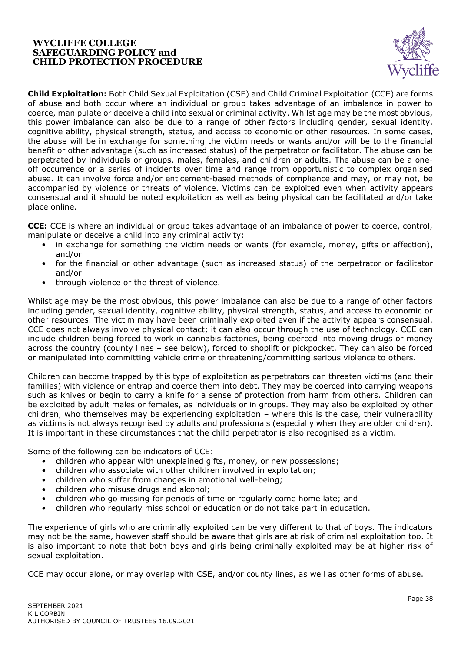

**Child Exploitation:** Both Child Sexual Exploitation (CSE) and Child Criminal Exploitation (CCE) are forms of abuse and both occur where an individual or group takes advantage of an imbalance in power to coerce, manipulate or deceive a child into sexual or criminal activity. Whilst age may be the most obvious, this power imbalance can also be due to a range of other factors including gender, sexual identity, cognitive ability, physical strength, status, and access to economic or other resources. In some cases, the abuse will be in exchange for something the victim needs or wants and/or will be to the financial benefit or other advantage (such as increased status) of the perpetrator or facilitator. The abuse can be perpetrated by individuals or groups, males, females, and children or adults. The abuse can be a oneoff occurrence or a series of incidents over time and range from opportunistic to complex organised abuse. It can involve force and/or enticement-based methods of compliance and may, or may not, be accompanied by violence or threats of violence. Victims can be exploited even when activity appears consensual and it should be noted exploitation as well as being physical can be facilitated and/or take place online.

**CCE:** CCE is where an individual or group takes advantage of an imbalance of power to coerce, control, manipulate or deceive a child into any criminal activity:

- in exchange for something the victim needs or wants (for example, money, gifts or affection), and/or
- for the financial or other advantage (such as increased status) of the perpetrator or facilitator and/or
- through violence or the threat of violence.

Whilst age may be the most obvious, this power imbalance can also be due to a range of other factors including gender, sexual identity, cognitive ability, physical strength, status, and access to economic or other resources. The victim may have been criminally exploited even if the activity appears consensual. CCE does not always involve physical contact; it can also occur through the use of technology. CCE can include children being forced to work in cannabis factories, being coerced into moving drugs or money across the country (county lines – see below), forced to shoplift or pickpocket. They can also be forced or manipulated into committing vehicle crime or threatening/committing serious violence to others.

Children can become trapped by this type of exploitation as perpetrators can threaten victims (and their families) with violence or entrap and coerce them into debt. They may be coerced into carrying weapons such as knives or begin to carry a knife for a sense of protection from harm from others. Children can be exploited by adult males or females, as individuals or in groups. They may also be exploited by other children, who themselves may be experiencing exploitation – where this is the case, their vulnerability as victims is not always recognised by adults and professionals (especially when they are older children). It is important in these circumstances that the child perpetrator is also recognised as a victim.

Some of the following can be indicators of CCE:

- children who appear with unexplained gifts, money, or new possessions;
- children who associate with other children involved in exploitation;
- children who suffer from changes in emotional well-being;
- children who misuse drugs and alcohol;
- children who go missing for periods of time or regularly come home late; and
- children who regularly miss school or education or do not take part in education.

The experience of girls who are criminally exploited can be very different to that of boys. The indicators may not be the same, however staff should be aware that girls are at risk of criminal exploitation too. It is also important to note that both boys and girls being criminally exploited may be at higher risk of sexual exploitation.

CCE may occur alone, or may overlap with CSE, and/or county lines, as well as other forms of abuse.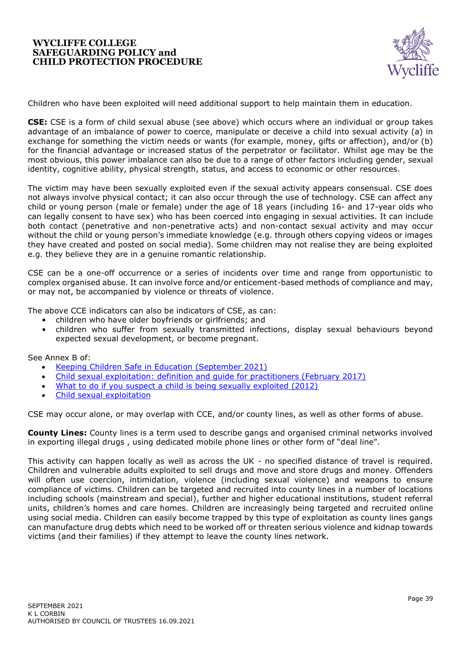

Children who have been exploited will need additional support to help maintain them in education.

**CSE:** CSE is a form of child sexual abuse (see above) which occurs where an individual or group takes advantage of an imbalance of power to coerce, manipulate or deceive a child into sexual activity (a) in exchange for something the victim needs or wants (for example, money, gifts or affection), and/or (b) for the financial advantage or increased status of the perpetrator or facilitator. Whilst age may be the most obvious, this power imbalance can also be due to a range of other factors including gender, sexual identity, cognitive ability, physical strength, status, and access to economic or other resources.

The victim may have been sexually exploited even if the sexual activity appears consensual. CSE does not always involve physical contact; it can also occur through the use of technology. CSE can affect any child or young person (male or female) under the age of 18 years (including 16- and 17-year olds who can legally consent to have sex) who has been coerced into engaging in sexual activities. It can include both contact (penetrative and non-penetrative acts) and non-contact sexual activity and may occur without the child or young person's immediate knowledge (e.g. through others copying videos or images they have created and posted on social media). Some children may not realise they are being exploited e.g. they believe they are in a genuine romantic relationship.

CSE can be a one-off occurrence or a series of incidents over time and range from opportunistic to complex organised abuse. It can involve force and/or enticement-based methods of compliance and may, or may not, be accompanied by violence or threats of violence.

The above CCE indicators can also be indicators of CSE, as can:

- children who have older boyfriends or girlfriends; and
- children who suffer from sexually transmitted infections, display sexual behaviours beyond expected sexual development, or become pregnant.

See Annex B of:

- [Keeping Children Safe in Education \(September 2021\)](https://assets.publishing.service.gov.uk/government/uploads/system/uploads/attachment_data/file/1007260/Keeping_children_safe_in_education_2021.pdf)
- Child [sexual exploitation: definition and guide for practitioners \(February 2017\)](https://assets.publishing.service.gov.uk/government/uploads/system/uploads/attachment_data/file/591903/CSE_Guidance_Core_Document_13.02.2017.pdf)
- What to do if you suspect a child [is being sexually exploited \(2012\)](https://www.teescpp.org.uk/media/1248/what-to-do-if-you-suspect-a-child-is-being-sexually-exploited.pdf)
- Child [sexual exploitation](https://assets.publishing.service.gov.uk/government/uploads/system/uploads/attachment_data/file/591903/CSE_Guidance_Core_Document_13.02.2017.pdf)

CSE may occur alone, or may overlap with CCE, and/or county lines, as well as other forms of abuse.

**County Lines:** County lines is a term used to describe gangs and organised criminal networks involved in exporting illegal drugs , using dedicated mobile phone lines or other form of "deal line".

This activity can happen locally as well as across the UK - no specified distance of travel is required. Children and vulnerable adults exploited to sell drugs and move and store drugs and money. Offenders will often use coercion, intimidation, violence (including sexual violence) and weapons to ensure compliance of victims. Children can be targeted and recruited into county lines in a number of locations including schools (mainstream and special), further and higher educational institutions, student referral units, children's homes and care homes. Children are increasingly being targeted and recruited online using social media. Children can easily become trapped by this type of exploitation as county lines gangs can manufacture drug debts which need to be worked off or threaten serious violence and kidnap towards victims (and their families) if they attempt to leave the county lines network.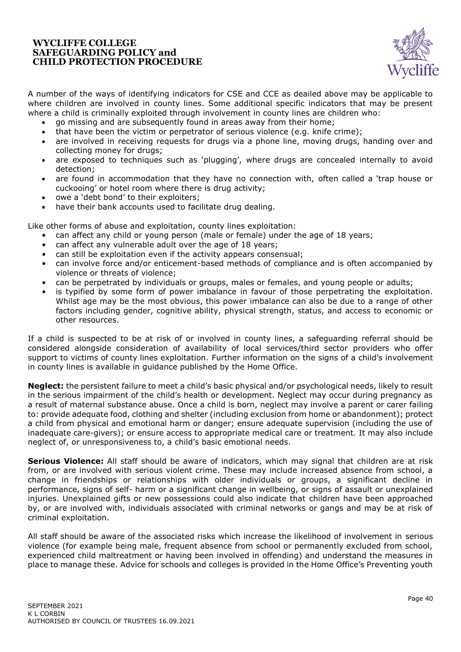

A number of the ways of identifying indicators for CSE and CCE as deailed above may be applicable to where children are involved in county lines. Some additional specific indicators that may be present where a child is criminally exploited through involvement in county lines are children who:

- go missing and are subsequently found in areas away from their home;
- that have been the victim or perpetrator of serious violence (e.g. knife crime);
- are involved in receiving requests for drugs via a phone line, moving drugs, handing over and collecting money for drugs;
- are exposed to techniques such as 'plugging', where drugs are concealed internally to avoid detection;
- are found in accommodation that they have no connection with, often called a 'trap house or cuckooing' or hotel room where there is drug activity;
- owe a 'debt bond' to their exploiters;
- have their bank accounts used to facilitate drug dealing.

Like other forms of abuse and exploitation, county lines exploitation:

- can affect any child or young person (male or female) under the age of 18 years;
- can affect any vulnerable adult over the age of 18 years;
- can still be exploitation even if the activity appears consensual;
- can involve force and/or enticement-based methods of compliance and is often accompanied by violence or threats of violence;
- can be perpetrated by individuals or groups, males or females, and young people or adults;
- is typified by some form of power imbalance in favour of those perpetrating the exploitation. Whilst age may be the most obvious, this power imbalance can also be due to a range of other factors including gender, cognitive ability, physical strength, status, and access to economic or other resources.

If a child is suspected to be at risk of or involved in county lines, a safeguarding referral should be considered alongside consideration of availability of local services/third sector providers who offer support to victims of county lines exploitation. Further information on the signs of a child's involvement in county lines is available in guidance published by the Home Office.

**Neglect:** the persistent failure to meet a child's basic physical and/or psychological needs, likely to result in the serious impairment of the child's health or development. Neglect may occur during pregnancy as a result of maternal substance abuse. Once a child is born, neglect may involve a parent or carer failing to: provide adequate food, clothing and shelter (including exclusion from home or abandonment); protect a child from physical and emotional harm or danger; ensure adequate supervision (including the use of inadequate care-givers); or ensure access to appropriate medical care or treatment. It may also include neglect of, or unresponsiveness to, a child's basic emotional needs.

**Serious Violence:** All staff should be aware of indicators, which may signal that children are at risk from, or are involved with serious violent crime. These may include increased absence from school, a change in friendships or relationships with older individuals or groups, a significant decline in performance, signs of self- harm or a significant change in wellbeing, or signs of assault or unexplained injuries. Unexplained gifts or new possessions could also indicate that children have been approached by, or are involved with, individuals associated with criminal networks or gangs and may be at risk of criminal exploitation.

All staff should be aware of the associated risks which increase the likelihood of involvement in serious violence (for example being male, frequent absence from school or permanently excluded from school, experienced child maltreatment or having been involved in offending) and understand the measures in place to manage these. Advice for schools and colleges is provided in the Home Office's Preventing youth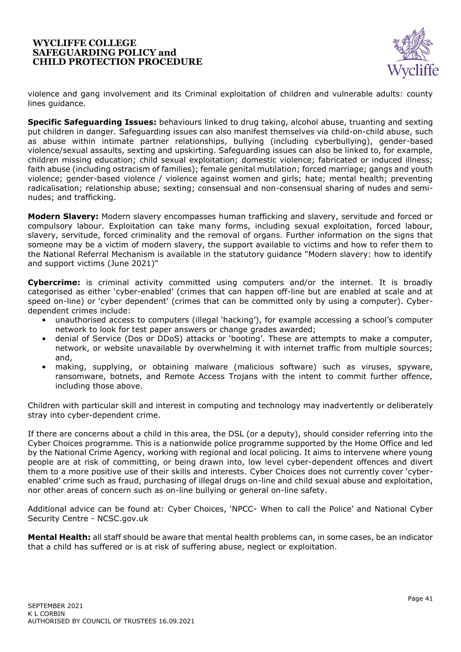

violence and gang involvement and its Criminal exploitation of children and vulnerable adults: county lines guidance.

**Specific Safeguarding Issues:** behaviours linked to drug taking, alcohol abuse, truanting and sexting put children in danger. Safeguarding issues can also manifest themselves via child-on-child abuse, such as abuse within intimate partner relationships, bullying (including cyberbullying), gender-based violence/sexual assaults, sexting and upskirting. Safeguarding issues can also be linked to, for example, children missing education; child sexual exploitation; domestic violence; fabricated or induced illness; faith abuse (including ostracism of families); female genital mutilation; forced marriage; gangs and youth violence; gender-based violence / violence against women and girls; hate; mental health; preventing radicalisation; relationship abuse; sexting; consensual and non-consensual sharing of nudes and seminudes; and trafficking.

**Modern Slavery:** Modern slavery encompasses human trafficking and slavery, servitude and forced or compulsory labour. Exploitation can take many forms, including sexual exploitation, forced labour, slavery, servitude, forced criminality and the removal of organs. Further information on the signs that someone may be a victim of modern slavery, the support available to victims and how to refer them to the National Referral Mechanism is available in the statutory guidance "Modern slavery: how to identify and support victims (June 2021)"

**Cybercrime:** is criminal activity committed using computers and/or the internet. It is broadly categorised as either 'cyber-enabled' (crimes that can happen off-line but are enabled at scale and at speed on-line) or 'cyber dependent' (crimes that can be committed only by using a computer). Cyberdependent crimes include:

- unauthorised access to computers (illegal 'hacking'), for example accessing a school's computer network to look for test paper answers or change grades awarded;
- denial of Service (Dos or DDoS) attacks or 'booting'. These are attempts to make a computer, network, or website unavailable by overwhelming it with internet traffic from multiple sources; and,
- making, supplying, or obtaining malware (malicious software) such as viruses, spyware, ransomware, botnets, and Remote Access Trojans with the intent to commit further offence, including those above.

Children with particular skill and interest in computing and technology may inadvertently or deliberately stray into cyber-dependent crime.

If there are concerns about a child in this area, the DSL (or a deputy), should consider referring into the Cyber Choices programme. This is a nationwide police programme supported by the Home Office and led by the National Crime Agency, working with regional and local policing. It aims to intervene where young people are at risk of committing, or being drawn into, low level cyber-dependent offences and divert them to a more positive use of their skills and interests. Cyber Choices does not currently cover 'cyberenabled' crime such as fraud, purchasing of illegal drugs on-line and child sexual abuse and exploitation, nor other areas of concern such as on-line bullying or general on-line safety.

Additional advice can be found at: Cyber Choices, 'NPCC- When to call the Police' and National Cyber Security Centre - NCSC.gov.uk

**Mental Health:** all staff should be aware that mental health problems can, in some cases, be an indicator that a child has suffered or is at risk of suffering abuse, neglect or exploitation.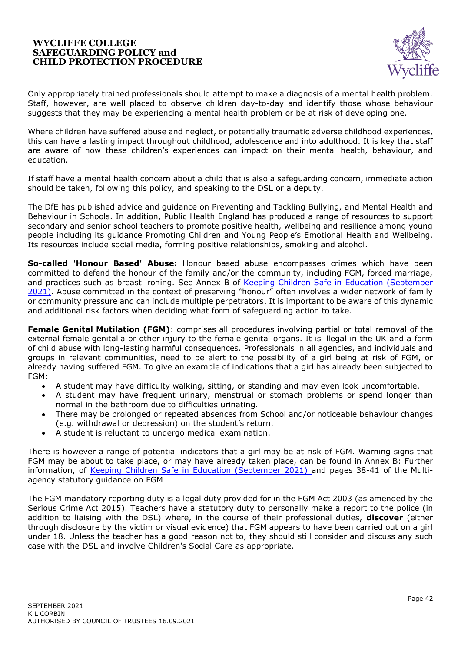

Only appropriately trained professionals should attempt to make a diagnosis of a mental health problem. Staff, however, are well placed to observe children day-to-day and identify those whose behaviour suggests that they may be experiencing a mental health problem or be at risk of developing one.

Where children have suffered abuse and neglect, or potentially traumatic adverse childhood experiences, this can have a lasting impact throughout childhood, adolescence and into adulthood. It is key that staff are aware of how these children's experiences can impact on their mental health, behaviour, and education.

If staff have a mental health concern about a child that is also a safeguarding concern, immediate action should be taken, following this policy, and speaking to the DSL or a deputy.

The DfE has published advice and guidance on Preventing and Tackling Bullying, and Mental Health and Behaviour in Schools. In addition, Public Health England has produced a range of resources to support secondary and senior school teachers to promote positive health, wellbeing and resilience among young people including its guidance Promoting Children and Young People's Emotional Health and Wellbeing. Its resources include social media, forming positive relationships, smoking and alcohol.

**So-called 'Honour Based' Abuse:** Honour based abuse encompasses crimes which have been committed to defend the honour of the family and/or the community, including FGM, forced marriage, and practices such as breast ironing. See Annex B of Keeping Children Safe in Education (September [2021\).](https://assets.publishing.service.gov.uk/government/uploads/system/uploads/attachment_data/file/1007260/Keeping_children_safe_in_education_2021.pdf) Abuse committed in the context of preserving "honour" often involves a wider network of family or community pressure and can include multiple perpetrators. It is important to be aware of this dynamic and additional risk factors when deciding what form of safeguarding action to take.

**Female Genital Mutilation (FGM)**: comprises all procedures involving partial or total removal of the external female genitalia or other injury to the female genital organs. It is illegal in the UK and a form of child abuse with long-lasting harmful consequences. Professionals in all agencies, and individuals and groups in relevant communities, need to be alert to the possibility of a girl being at risk of FGM, or already having suffered FGM. To give an example of indications that a girl has already been subjected to FGM:

- A student may have difficulty walking, sitting, or standing and may even look uncomfortable.
- A student may have frequent urinary, menstrual or stomach problems or spend longer than normal in the bathroom due to difficulties urinating.
- There may be prolonged or repeated absences from School and/or noticeable behaviour changes (e.g. withdrawal or depression) on the student's return.
- A student is reluctant to undergo medical examination.

There is however a range of potential indicators that a girl may be at risk of FGM. Warning signs that FGM may be about to take place, or may have already taken place, can be found in Annex B: Further information, of [Keeping Children Safe in Education \(September 2021\)](https://assets.publishing.service.gov.uk/government/uploads/system/uploads/attachment_data/file/1007260/Keeping_children_safe_in_education_2021.pdf) and pages 38-41 of the Multiagency statutory guidance on FGM

The FGM mandatory reporting duty is a legal duty provided for in the FGM Act 2003 (as amended by the Serious Crime Act 2015). Teachers have a statutory duty to personally make a report to the police (in addition to liaising with the DSL) where, in the course of their professional duties, **discover** (either through disclosure by the victim or visual evidence) that FGM appears to have been carried out on a girl under 18. Unless the teacher has a good reason not to, they should still consider and discuss any such case with the DSL and involve Children's Social Care as appropriate.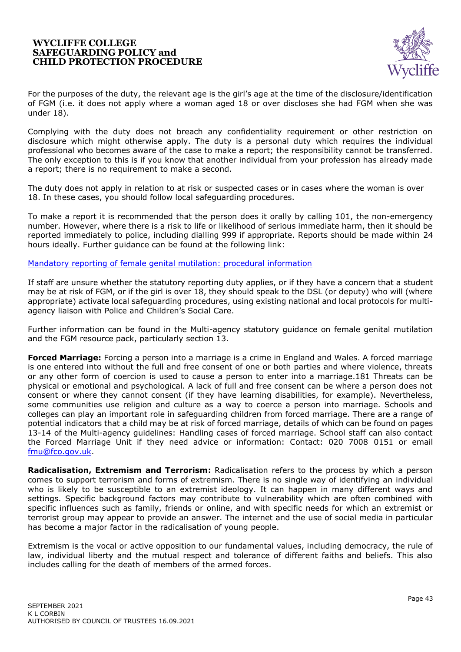

For the purposes of the duty, the relevant age is the girl's age at the time of the disclosure/identification of FGM (i.e. it does not apply where a woman aged 18 or over discloses she had FGM when she was under 18).

Complying with the duty does not breach any confidentiality requirement or other restriction on disclosure which might otherwise apply. The duty is a personal duty which requires the individual professional who becomes aware of the case to make a report; the responsibility cannot be transferred. The only exception to this is if you know that another individual from your profession has already made a report; there is no requirement to make a second.

The duty does not apply in relation to at risk or suspected cases or in cases where the woman is over 18. In these cases, you should follow local safeguarding procedures.

To make a report it is recommended that the person does it orally by calling 101, the non-emergency number. However, where there is a risk to life or likelihood of serious immediate harm, then it should be reported immediately to police, including dialling 999 if appropriate. Reports should be made within 24 hours ideally. Further guidance can be found at the following link:

[Mandatory reporting of female genital mutilation: procedural information](https://www.gov.uk/government/publications/mandatory-reporting-of-female-genital-mutilation)

If staff are unsure whether the statutory reporting duty applies, or if they have a concern that a student may be at risk of FGM, or if the girl is over 18, they should speak to the DSL (or deputy) who will (where appropriate) activate local safeguarding procedures, using existing national and local protocols for multiagency liaison with Police and Children's Social Care.

Further information can be found in the Multi-agency statutory guidance on female genital mutilation and the FGM resource pack, particularly section 13.

**Forced Marriage:** Forcing a person into a marriage is a crime in England and Wales. A forced marriage is one entered into without the full and free consent of one or both parties and where violence, threats or any other form of coercion is used to cause a person to enter into a marriage.181 Threats can be physical or emotional and psychological. A lack of full and free consent can be where a person does not consent or where they cannot consent (if they have learning disabilities, for example). Nevertheless, some communities use religion and culture as a way to coerce a person into marriage. Schools and colleges can play an important role in safeguarding children from forced marriage. There are a range of potential indicators that a child may be at risk of forced marriage, details of which can be found on pages 13-14 of the Multi-agency guidelines: Handling cases of forced marriage. School staff can also contact the Forced Marriage Unit if they need advice or information: Contact: 020 7008 0151 or email [fmu@fco.gov.uk.](mailto:fmu@fco.gov.uk)

**Radicalisation, Extremism and Terrorism:** Radicalisation refers to the process by which a person comes to support terrorism and forms of extremism. There is no single way of identifying an individual who is likely to be susceptible to an extremist ideology. It can happen in many different ways and settings. Specific background factors may contribute to vulnerability which are often combined with specific influences such as family, friends or online, and with specific needs for which an extremist or terrorist group may appear to provide an answer. The internet and the use of social media in particular has become a major factor in the radicalisation of young people.

Extremism is the vocal or active opposition to our fundamental values, including democracy, the rule of law, individual liberty and the mutual respect and tolerance of different faiths and beliefs. This also includes calling for the death of members of the armed forces.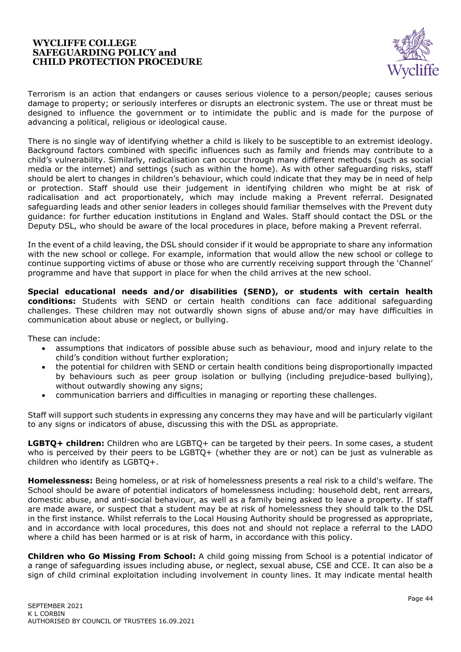

Terrorism is an action that endangers or causes serious violence to a person/people; causes serious damage to property; or seriously interferes or disrupts an electronic system. The use or threat must be designed to influence the government or to intimidate the public and is made for the purpose of advancing a political, religious or ideological cause.

There is no single way of identifying whether a child is likely to be susceptible to an extremist ideology. Background factors combined with specific influences such as family and friends may contribute to a child's vulnerability. Similarly, radicalisation can occur through many different methods (such as social media or the internet) and settings (such as within the home). As with other safeguarding risks, staff should be alert to changes in children's behaviour, which could indicate that they may be in need of help or protection. Staff should use their judgement in identifying children who might be at risk of radicalisation and act proportionately, which may include making a Prevent referral. Designated safeguarding leads and other senior leaders in colleges should familiar themselves with the Prevent duty guidance: for further education institutions in England and Wales. Staff should contact the DSL or the Deputy DSL, who should be aware of the local procedures in place, before making a Prevent referral.

In the event of a child leaving, the DSL should consider if it would be appropriate to share any information with the new school or college. For example, information that would allow the new school or college to continue supporting victims of abuse or those who are currently receiving support through the 'Channel' programme and have that support in place for when the child arrives at the new school.

**Special educational needs and/or disabilities (SEND), or students with certain health conditions:** Students with SEND or certain health conditions can face additional safeguarding challenges. These children may not outwardly shown signs of abuse and/or may have difficulties in communication about abuse or neglect, or bullying.

These can include:

- assumptions that indicators of possible abuse such as behaviour, mood and injury relate to the child's condition without further exploration;
- the potential for children with SEND or certain health conditions being disproportionally impacted by behaviours such as peer group isolation or bullying (including prejudice-based bullying), without outwardly showing any signs;
- communication barriers and difficulties in managing or reporting these challenges.

Staff will support such students in expressing any concerns they may have and will be particularly vigilant to any signs or indicators of abuse, discussing this with the DSL as appropriate.

**LGBTQ+ children:** Children who are LGBTQ+ can be targeted by their peers. In some cases, a student who is perceived by their peers to be LGBTQ+ (whether they are or not) can be just as vulnerable as children who identify as LGBTQ+.

**Homelessness:** Being homeless, or at risk of homelessness presents a real risk to a child's welfare. The School should be aware of potential indicators of homelessness including: household debt, rent arrears, domestic abuse, and anti-social behaviour, as well as a family being asked to leave a property. If staff are made aware, or suspect that a student may be at risk of homelessness they should talk to the DSL in the first instance. Whilst referrals to the Local Housing Authority should be progressed as appropriate, and in accordance with local procedures, this does not and should not replace a referral to the LADO where a child has been harmed or is at risk of harm, in accordance with this policy.

**Children who Go Missing From School:** A child going missing from School is a potential indicator of a range of safeguarding issues including abuse, or neglect, sexual abuse, CSE and CCE. It can also be a sign of child criminal exploitation including involvement in county lines. It may indicate mental health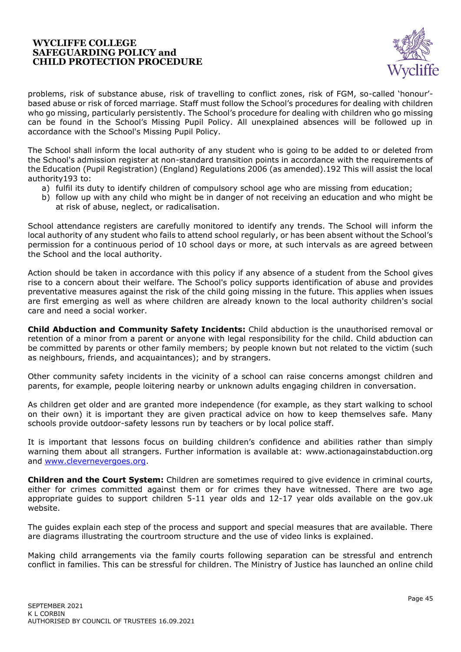

problems, risk of substance abuse, risk of travelling to conflict zones, risk of FGM, so-called 'honour' based abuse or risk of forced marriage. Staff must follow the School's procedures for dealing with children who go missing, particularly persistently. The School's procedure for dealing with children who go missing can be found in the School's Missing Pupil Policy. All unexplained absences will be followed up in accordance with the School's Missing Pupil Policy.

The School shall inform the local authority of any student who is going to be added to or deleted from the School's admission register at non-standard transition points in accordance with the requirements of the Education (Pupil Registration) (England) Regulations 2006 (as amended).192 This will assist the local authority193 to:

- a) fulfil its duty to identify children of compulsory school age who are missing from education;
- b) follow up with any child who might be in danger of not receiving an education and who might be at risk of abuse, neglect, or radicalisation.

School attendance registers are carefully monitored to identify any trends. The School will inform the local authority of any student who fails to attend school regularly, or has been absent without the School's permission for a continuous period of 10 school days or more, at such intervals as are agreed between the School and the local authority.

Action should be taken in accordance with this policy if any absence of a student from the School gives rise to a concern about their welfare. The School's policy supports identification of abuse and provides preventative measures against the risk of the child going missing in the future. This applies when issues are first emerging as well as where children are already known to the local authority children's social care and need a social worker.

**Child Abduction and Community Safety Incidents:** Child abduction is the unauthorised removal or retention of a minor from a parent or anyone with legal responsibility for the child. Child abduction can be committed by parents or other family members; by people known but not related to the victim (such as neighbours, friends, and acquaintances); and by strangers.

Other community safety incidents in the vicinity of a school can raise concerns amongst children and parents, for example, people loitering nearby or unknown adults engaging children in conversation.

As children get older and are granted more independence (for example, as they start walking to school on their own) it is important they are given practical advice on how to keep themselves safe. Many schools provide outdoor-safety lessons run by teachers or by local police staff.

It is important that lessons focus on building children's confidence and abilities rather than simply warning them about all strangers. Further information is available at: www.actionagainstabduction.org and [www.clevernevergoes.org.](http://www.clevernevergoes.org/)

**Children and the Court System:** Children are sometimes required to give evidence in criminal courts, either for crimes committed against them or for crimes they have witnessed. There are two age appropriate guides to support children 5-11 year olds and 12-17 year olds available on the gov.uk website.

The guides explain each step of the process and support and special measures that are available. There are diagrams illustrating the courtroom structure and the use of video links is explained.

Making child arrangements via the family courts following separation can be stressful and entrench conflict in families. This can be stressful for children. The Ministry of Justice has launched an online child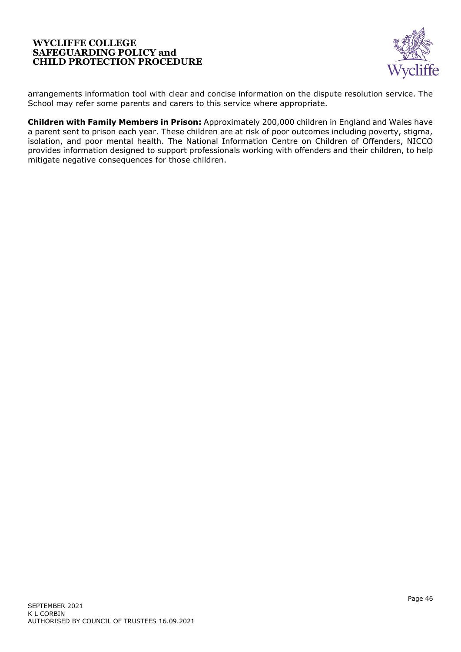

arrangements information tool with clear and concise information on the dispute resolution service. The School may refer some parents and carers to this service where appropriate.

**Children with Family Members in Prison:** Approximately 200,000 children in England and Wales have a parent sent to prison each year. These children are at risk of poor outcomes including poverty, stigma, isolation, and poor mental health. The National Information Centre on Children of Offenders, NICCO provides information designed to support professionals working with offenders and their children, to help mitigate negative consequences for those children.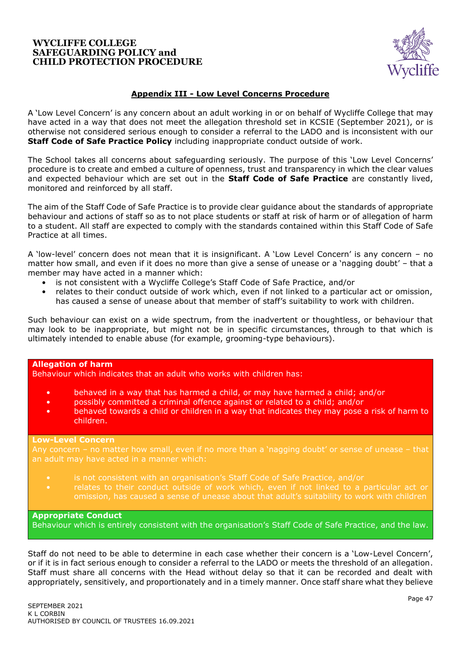

# **Appendix III - Low Level Concerns Procedure**

<span id="page-46-0"></span>A 'Low Level Concern' is any concern about an adult working in or on behalf of Wycliffe College that may have acted in a way that does not meet the allegation threshold set in KCSIE (September 2021), or is otherwise not considered serious enough to consider a referral to the LADO and is inconsistent with our **Staff Code of Safe Practice Policy** including inappropriate conduct outside of work.

The School takes all concerns about safeguarding seriously. The purpose of this 'Low Level Concerns' procedure is to create and embed a culture of openness, trust and transparency in which the clear values and expected behaviour which are set out in the **Staff Code of Safe Practice** are constantly lived, monitored and reinforced by all staff.

The aim of the Staff Code of Safe Practice is to provide clear guidance about the standards of appropriate behaviour and actions of staff so as to not place students or staff at risk of harm or of allegation of harm to a student. All staff are expected to comply with the standards contained within this Staff Code of Safe Practice at all times.

A 'low-level' concern does not mean that it is insignificant. A 'Low Level Concern' is any concern – no matter how small, and even if it does no more than give a sense of unease or a 'nagging doubt' – that a member may have acted in a manner which:

- is not consistent with a Wycliffe College's Staff Code of Safe Practice, and/or
- relates to their conduct outside of work which, even if not linked to a particular act or omission, has caused a sense of unease about that member of staff's suitability to work with children.

Such behaviour can exist on a wide spectrum, from the inadvertent or thoughtless, or behaviour that may look to be inappropriate, but might not be in specific circumstances, through to that which is ultimately intended to enable abuse (for example, grooming-type behaviours).

#### **Allegation of harm**

Behaviour which indicates that an adult who works with children has:

- behaved in a way that has harmed a child, or may have harmed a child; and/or
- possibly committed a criminal offence against or related to a child; and/or
- behaved towards a child or children in a way that indicates they may pose a risk of harm to children.

#### **Low-Level Concern**

Any concern – no matter how small, even if no more than a 'nagging doubt' or sense of unease – that an adult may have acted in a manner which:

- 
- omission, has caused a sense of unease about that adult's suitability to work with children

## **Appropriate Conduct**

Behaviour which is entirely consistent with the organisation's Staff Code of Safe Practice, and the law.

Staff do not need to be able to determine in each case whether their concern is a 'Low-Level Concern', or if it is in fact serious enough to consider a referral to the LADO or meets the threshold of an allegation. Staff must share all concerns with the Head without delay so that it can be recorded and dealt with appropriately, sensitively, and proportionately and in a timely manner. Once staff share what they believe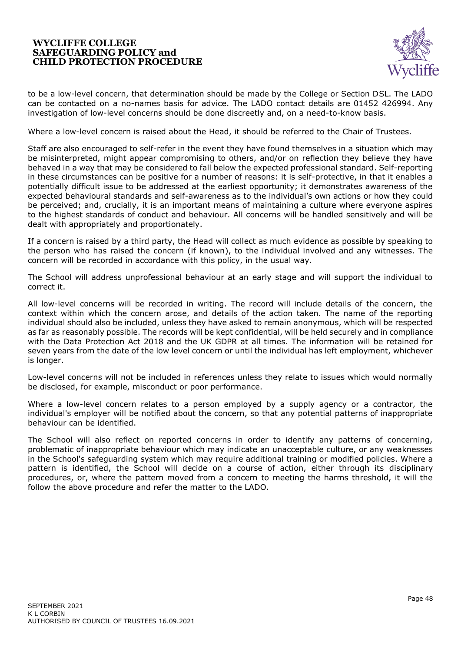

to be a low-level concern, that determination should be made by the College or Section DSL. The LADO can be contacted on a no-names basis for advice. The LADO contact details are 01452 426994. Any investigation of low-level concerns should be done discreetly and, on a need-to-know basis.

Where a low-level concern is raised about the Head, it should be referred to the Chair of Trustees.

Staff are also encouraged to self-refer in the event they have found themselves in a situation which may be misinterpreted, might appear compromising to others, and/or on reflection they believe they have behaved in a way that may be considered to fall below the expected professional standard. Self-reporting in these circumstances can be positive for a number of reasons: it is self-protective, in that it enables a potentially difficult issue to be addressed at the earliest opportunity; it demonstrates awareness of the expected behavioural standards and self-awareness as to the individual's own actions or how they could be perceived; and, crucially, it is an important means of maintaining a culture where everyone aspires to the highest standards of conduct and behaviour. All concerns will be handled sensitively and will be dealt with appropriately and proportionately.

If a concern is raised by a third party, the Head will collect as much evidence as possible by speaking to the person who has raised the concern (if known), to the individual involved and any witnesses. The concern will be recorded in accordance with this policy, in the usual way.

The School will address unprofessional behaviour at an early stage and will support the individual to correct it.

All low-level concerns will be recorded in writing. The record will include details of the concern, the context within which the concern arose, and details of the action taken. The name of the reporting individual should also be included, unless they have asked to remain anonymous, which will be respected as far as reasonably possible. The records will be kept confidential, will be held securely and in compliance with the Data Protection Act 2018 and the UK GDPR at all times. The information will be retained for seven years from the date of the low level concern or until the individual has left employment, whichever is longer.

Low-level concerns will not be included in references unless they relate to issues which would normally be disclosed, for example, misconduct or poor performance.

Where a low-level concern relates to a person employed by a supply agency or a contractor, the individual's employer will be notified about the concern, so that any potential patterns of inappropriate behaviour can be identified.

The School will also reflect on reported concerns in order to identify any patterns of concerning, problematic of inappropriate behaviour which may indicate an unacceptable culture, or any weaknesses in the School's safeguarding system which may require additional training or modified policies. Where a pattern is identified, the School will decide on a course of action, either through its disciplinary procedures, or, where the pattern moved from a concern to meeting the harms threshold, it will the follow the above procedure and refer the matter to the LADO.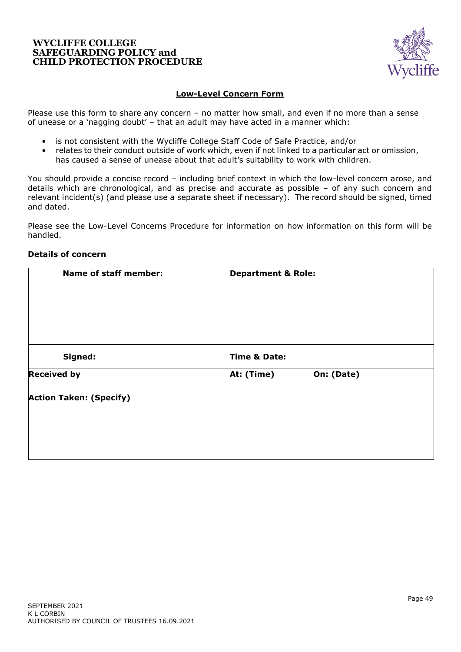

# **Low-Level Concern Form**

Please use this form to share any concern – no matter how small, and even if no more than a sense of unease or a 'nagging doubt' – that an adult may have acted in a manner which:

- is not consistent with the Wycliffe College Staff Code of Safe Practice, and/or
- relates to their conduct outside of work which, even if not linked to a particular act or omission, has caused a sense of unease about that adult's suitability to work with children.

You should provide a concise record – including brief context in which the low-level concern arose, and details which are chronological, and as precise and accurate as possible – of any such concern and relevant incident(s) (and please use a separate sheet if necessary). The record should be signed, timed and dated.

Please see the Low-Level Concerns Procedure for information on how information on this form will be handled.

# **Details of concern**

| Name of staff member:          | <b>Department &amp; Role:</b> |            |  |
|--------------------------------|-------------------------------|------------|--|
| Signed:                        | <b>Time &amp; Date:</b>       |            |  |
| <b>Received by</b>             | At: (Time)                    | On: (Date) |  |
| <b>Action Taken: (Specify)</b> |                               |            |  |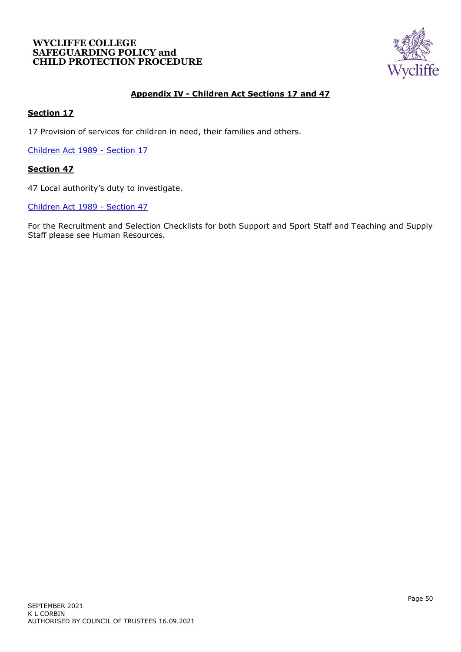

# **Appendix IV - Children Act Sections 17 and 47**

## <span id="page-49-0"></span>**Section 17**

17 Provision of services for children in need, their families and others.

[Children Act 1989 -](http://legislation.data.gov.uk/ukpga/1989/41/section/17/data.htm?wrap=true) Section 17

## **Section 47**

47 Local authority's duty to investigate.

[Children Act 1989 -](http://legislation.data.gov.uk/ukpga/1989/41/section/47/data.htm?wrap=true) Section 47

For the Recruitment and Selection Checklists for both Support and Sport Staff and Teaching and Supply Staff please see Human Resources.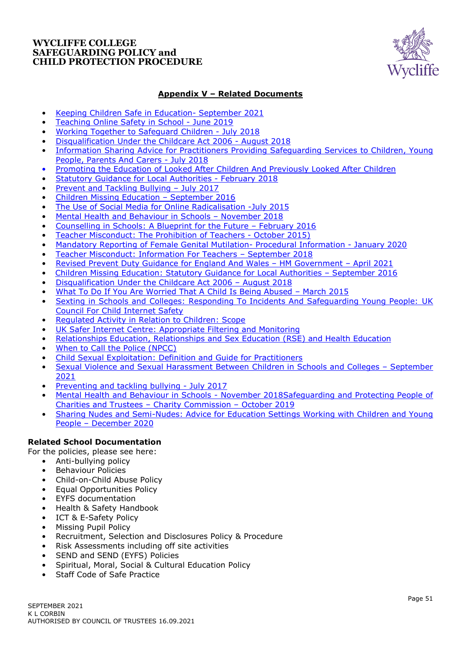

# **Appendix V – Related Documents**

- <span id="page-50-0"></span>• [Keeping Children Safe in Education-](https://assets.publishing.service.gov.uk/government/uploads/system/uploads/attachment_data/file/1007260/Keeping_children_safe_in_education_2021.pdf) September 2021
- [Teaching Online Safety in School -](https://www.gov.uk/government/publications/teaching-online-safety-in-schools) June 2019
- [Working Together to Safeguard Children -](https://www.gov.uk/government/publications/working-together-to-safeguard-children--2) July 2018
- [Disqualification Under the Childcare Act 2006 -](https://www.gov.uk/government/publications/disqualification-under-the-childcare-act-2006) August 2018
- Information Sharing Advice for Practitioners Providing Safequarding Services to Children, Young [People, Parents And Carers -](https://www.gov.uk/government/publications/safeguarding-practitioners-information-sharing-advice) July 2018
- [Promoting the Education of Looked After Children And Previously Looked After Children](https://www.gov.uk/government/publications/promoting-the-education-of-looked-after-children)
- [Statutory Guidance for Local Authorities -](https://www.gov.uk/government/publications/promoting-the-education-of-looked-after-children) February 2018
- [Prevent and Tackling Bullying](https://www.gov.uk/government/publications/preventing-and-tackling-bullying)  July 2017
- [Children Missing Education](https://www.gov.uk/government/publications/children-missing-education)  September 2016
- [The Use of Social Media for Online Radicalisation -July 2015](https://www.gov.uk/government/publications/the-use-of-social-media-for-online-radicalisation)
- [Mental Health and Behaviour in Schools](https://www.gov.uk/government/publications/mental-health-and-behaviour-in-schools--2)  November 2018
- [Counselling in Schools: A Blueprint for the Future](https://www.gov.uk/government/publications/counselling-in-schools)  February 2016
- [Teacher Misconduct: The Prohibition of Teachers -](https://www.gov.uk/government/publications/teacher-misconduct-the-prohibition-of-teachers--3) October 2015)
- [Mandatory Reporting of Female Genital Mutilation-](https://www.gov.uk/government/publications/mandatory-reporting-of-female-genital-mutilation-procedural-information) Procedural Information January 2020
- [Teacher Misconduct: Information For Teachers](https://www.gov.uk/government/publications/teacher-misconduct-information-for-teachers)  September 2018
- [Revised Prevent Duty Guidance for England And Wales](https://www.gov.uk/government/publications/prevent-duty-guidance)  HM Government April 2021
- [Children Missing Education: Statutory Guidance for Local Authorities](https://www.gov.uk/government/publications/children-missing-education)  September 2016
- [Disqualification Under the Childcare Act 2006](https://www.gov.uk/government/publications/disqualification-under-the-childcare-act-2006)  August 2018
- What To Do If You Are Worried That A Child Is Being Abused March 2015
- [Sexting in Schools and Colleges: Responding To Incidents And Safeguarding Young People: UK](https://www.safeguardinginschools.co.uk/wp-content/uploads/2016/08/Sexting-in-schools-and-colleges-UKCCIS-August-2016.pdf)  [Council For Child](https://www.safeguardinginschools.co.uk/wp-content/uploads/2016/08/Sexting-in-schools-and-colleges-UKCCIS-August-2016.pdf) Internet Safety
- [Regulated Activity in Relation to Children: Scope](https://assets.publishing.service.gov.uk/government/uploads/system/uploads/attachment_data/file/550197/Regulated_activity_in_relation_to_children.pdf)
- [UK Safer Internet Centre: Appropriate Filtering and Monitoring](https://www.saferinternet.org.uk/advice-centre/teachers-and-school-staff/appropriate-filtering-and-monitoring)
- [Relationships Education, Relationships and Sex Education \(RSE\) and Health Education](https://www.gov.uk/government/publications/relationships-education-relationships-and-sex-education-rse-and-health-education)
- [When to Call the Police \(NPCC\)](https://www.npcc.police.uk/documents/Children%20and%20Young%20people/When%20to%20call%20the%20police%20guidance%20for%20schools%20and%20colleges.pdf)
- Child [Sexual Exploitation: Definition and Guide for Practitioners](https://www.gov.uk/government/publications/child-sexual-exploitation-definition-and-guide-for-practitioners)
- [Sexual Violence and Sexual Harassment Between Children in Schools](https://www.gov.uk/government/publications/sexual-violence-and-sexual-harassment-between-children-in-schools-and-colleges) and Colleges September [2021](https://www.gov.uk/government/publications/sexual-violence-and-sexual-harassment-between-children-in-schools-and-colleges)
- [Preventing and tackling bullying -](https://www.gov.uk/government/publications/preventing-and-tackling-bullying) July 2017
- [Mental Health and Behaviour in Schools -](https://www.gov.uk/government/publications/mental-health-and-behaviour-in-schools--2) November 2018Safequarding and Protecting People of [Charities and Trustees](https://www.gov.uk/guidance/safeguarding-duties-for-charity-trustees) – Charity Commission – October 2019
- [Sharing Nudes and Semi-Nudes: Advice for Education Settings Working with Children and Young](https://www.gov.uk/government/publications/sharing-nudes-and-semi-nudes-advice-for-education-settings-working-with-children-and-young-people)  People – [December 2020](https://www.gov.uk/government/publications/sharing-nudes-and-semi-nudes-advice-for-education-settings-working-with-children-and-young-people)

#### **Related School Documentation**

For the policies, please see here:

- Anti-bullying policy
- Behaviour Policies
- Child-on-Child Abuse Policy
- Equal Opportunities Policy
- EYFS documentation
- Health & Safety Handbook
- ICT & E-Safety Policy
- Missing Pupil Policy
- Recruitment, Selection and Disclosures Policy & Procedure
- Risk Assessments including off site activities
- SEND and SEND (EYFS) Policies
- Spiritual, Moral, Social & Cultural Education Policy
- Staff Code of Safe Practice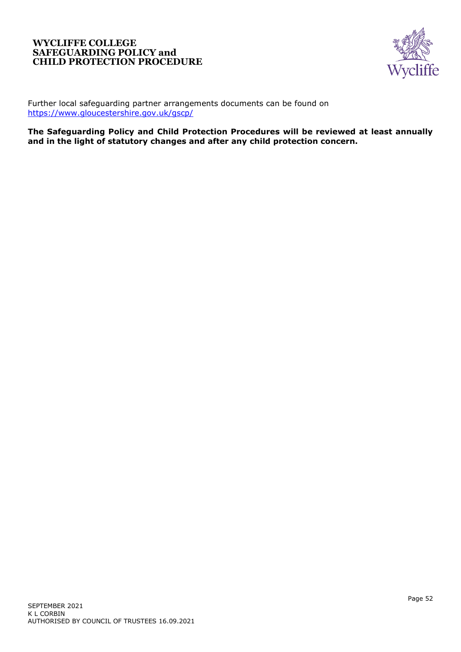

Further local safeguarding partner arrangements documents can be found on <https://www.gloucestershire.gov.uk/gscp/>

**The Safeguarding Policy and Child Protection Procedures will be reviewed at least annually and in the light of statutory changes and after any child protection concern.**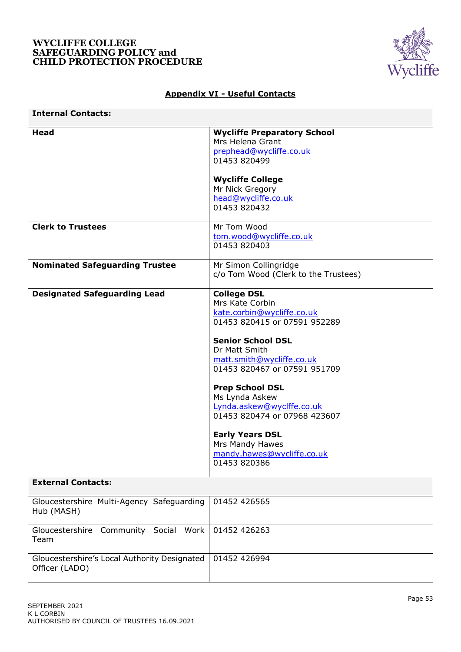

# **Appendix VI - Useful Contacts**

<span id="page-52-0"></span>

| <b>Internal Contacts:</b>                                      |                                                                                                                                                                                                                                                                                                                                                                                                                   |  |
|----------------------------------------------------------------|-------------------------------------------------------------------------------------------------------------------------------------------------------------------------------------------------------------------------------------------------------------------------------------------------------------------------------------------------------------------------------------------------------------------|--|
| Head                                                           | <b>Wycliffe Preparatory School</b><br>Mrs Helena Grant<br>prephead@wycliffe.co.uk<br>01453 820499<br><b>Wycliffe College</b>                                                                                                                                                                                                                                                                                      |  |
|                                                                | Mr Nick Gregory<br>head@wycliffe.co.uk<br>01453 820432                                                                                                                                                                                                                                                                                                                                                            |  |
| <b>Clerk to Trustees</b>                                       | Mr Tom Wood<br>tom.wood@wycliffe.co.uk<br>01453 820403                                                                                                                                                                                                                                                                                                                                                            |  |
| <b>Nominated Safeguarding Trustee</b>                          | Mr Simon Collingridge<br>c/o Tom Wood (Clerk to the Trustees)                                                                                                                                                                                                                                                                                                                                                     |  |
| <b>Designated Safeguarding Lead</b>                            | <b>College DSL</b><br>Mrs Kate Corbin<br>kate.corbin@wycliffe.co.uk<br>01453 820415 or 07591 952289<br><b>Senior School DSL</b><br>Dr Matt Smith<br>matt.smith@wycliffe.co.uk<br>01453 820467 or 07591 951709<br><b>Prep School DSL</b><br>Ms Lynda Askew<br>Lynda.askew@wyclffe.co.uk<br>01453 820474 or 07968 423607<br><b>Early Years DSL</b><br>Mrs Mandy Hawes<br>mandy.hawes@wycliffe.co.uk<br>01453 820386 |  |
| <b>External Contacts:</b>                                      |                                                                                                                                                                                                                                                                                                                                                                                                                   |  |
| Gloucestershire Multi-Agency Safeguarding<br>Hub (MASH)        | 01452 426565                                                                                                                                                                                                                                                                                                                                                                                                      |  |
| Gloucestershire Community Social Work<br>Team                  | 01452 426263                                                                                                                                                                                                                                                                                                                                                                                                      |  |
| Gloucestershire's Local Authority Designated<br>Officer (LADO) | 01452 426994                                                                                                                                                                                                                                                                                                                                                                                                      |  |